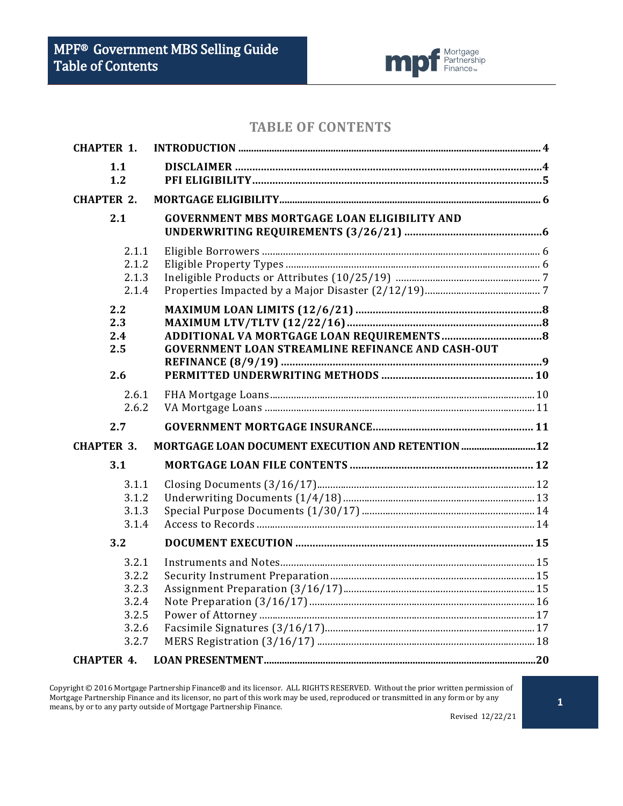

## **TABLE OF CONTENTS**

| <b>CHAPTER 1.</b>                                           |                                                          |  |
|-------------------------------------------------------------|----------------------------------------------------------|--|
| 1.1<br>1.2                                                  |                                                          |  |
| <b>CHAPTER 2.</b>                                           |                                                          |  |
| 2.1                                                         | <b>GOVERNMENT MBS MORTGAGE LOAN ELIGIBILITY AND</b>      |  |
| 2.1.1<br>2.1.2<br>2.1.3<br>2.1.4                            |                                                          |  |
| 2.2<br>2.3<br>2.4<br>2.5<br>2.6                             | <b>GOVERNMENT LOAN STREAMLINE REFINANCE AND CASH-OUT</b> |  |
| 2.6.1<br>2.6.2                                              |                                                          |  |
| 2.7                                                         |                                                          |  |
| <b>CHAPTER 3.</b>                                           | MORTGAGE LOAN DOCUMENT EXECUTION AND RETENTION  12       |  |
| 3.1                                                         |                                                          |  |
| 3.1.1<br>3.1.2<br>3.1.3<br>3.1.4                            |                                                          |  |
| 3.2                                                         |                                                          |  |
| 3.2.1<br>3.2.2<br>3.2.3<br>3.2.4<br>3.2.5<br>3.2.6<br>3.2.7 |                                                          |  |
| <b>CHAPTER 4.</b>                                           |                                                          |  |

Copyright © 2016 Mortgage Partnership Finance® and its licensor. ALL RIGHTS RESERVED. Without the prior written permission of Mortgage Partnership Finance and its licensor, no part of this work may be used, reproduced or transmitted in any form or by any Mortgage Partnership Finance and its licensor, no part of this work may be used, reproduced o means, by or to any party outside of Mortgage Partnership Finance.

Revised 12/22/21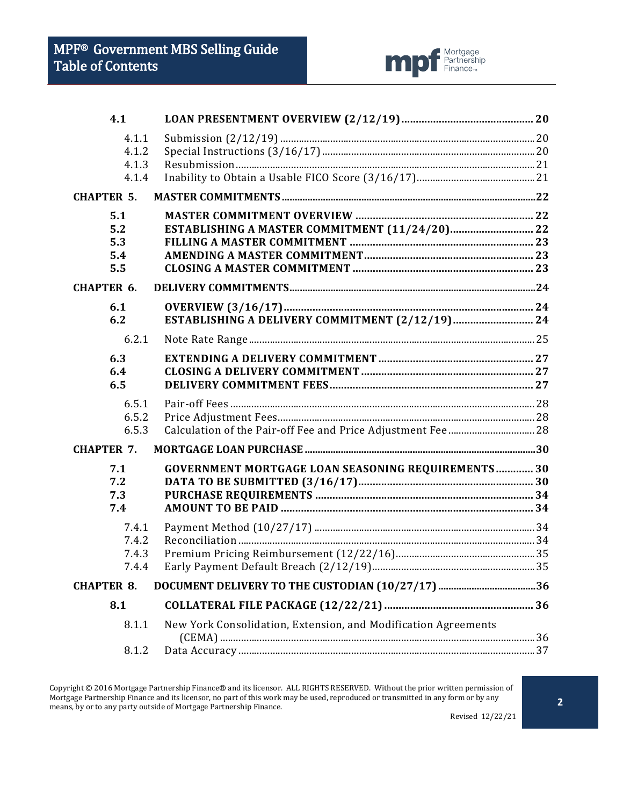

| 4.1               |                                                                |  |
|-------------------|----------------------------------------------------------------|--|
| 4.1.1             |                                                                |  |
| 4.1.2<br>4.1.3    |                                                                |  |
| 4.1.4             |                                                                |  |
| <b>CHAPTER 5.</b> |                                                                |  |
| 5.1               |                                                                |  |
| 5.2               | ESTABLISHING A MASTER COMMITMENT (11/24/20) 22                 |  |
| 5.3               |                                                                |  |
| 5.4               |                                                                |  |
| 5.5               |                                                                |  |
| <b>CHAPTER 6.</b> |                                                                |  |
| 6.1               |                                                                |  |
| 6.2               |                                                                |  |
| 6.2.1             |                                                                |  |
| 6.3               |                                                                |  |
| 6.4               |                                                                |  |
| 6.5               |                                                                |  |
| 6.5.1             |                                                                |  |
| 6.5.2             |                                                                |  |
| 6.5.3             |                                                                |  |
| <b>CHAPTER 7.</b> |                                                                |  |
| 7.1               | <b>GOVERNMENT MORTGAGE LOAN SEASONING REQUIREMENTS 30</b>      |  |
| 7.2               |                                                                |  |
| 7.3               |                                                                |  |
| 7.4               |                                                                |  |
| 7.4.1             |                                                                |  |
| 7.4.2             |                                                                |  |
| 7.4.3             |                                                                |  |
| 7.4.4             |                                                                |  |
| <b>CHAPTER 8.</b> |                                                                |  |
| 8.1               |                                                                |  |
| 8.1.1             | New York Consolidation, Extension, and Modification Agreements |  |
| 8.1.2             |                                                                |  |
|                   |                                                                |  |

Copyright © 2016 Mortgage Partnership Finance® and its licensor. ALL RIGHTS RESERVED. Without the prior written permission of Mortgage Partnership Finance and its licensor, no part of this work may be used, reproduced or transmitted in any form or by any means, by or to any party outside of Mortgage Partnership Finance.

Revised 12/22/21

**2**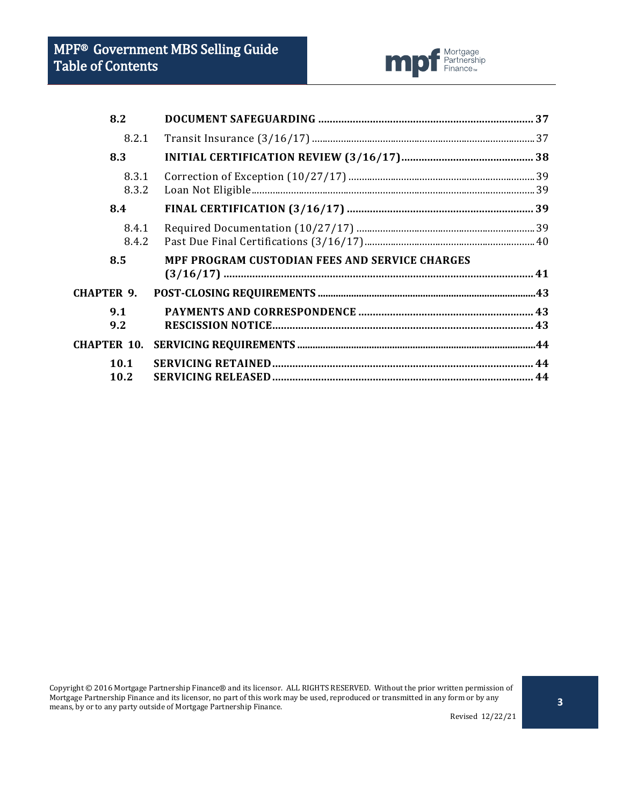

| 8.2                |                                                |  |
|--------------------|------------------------------------------------|--|
| 8.2.1              |                                                |  |
| 8.3                |                                                |  |
| 8.3.1<br>8.3.2     |                                                |  |
| 8.4                |                                                |  |
| 8.4.1<br>8.4.2     |                                                |  |
| 8.5                | MPF PROGRAM CUSTODIAN FEES AND SERVICE CHARGES |  |
| <b>CHAPTER 9.</b>  |                                                |  |
| 9.1<br>9.2         |                                                |  |
| <b>CHAPTER 10.</b> |                                                |  |
| 10.1<br>10.2       |                                                |  |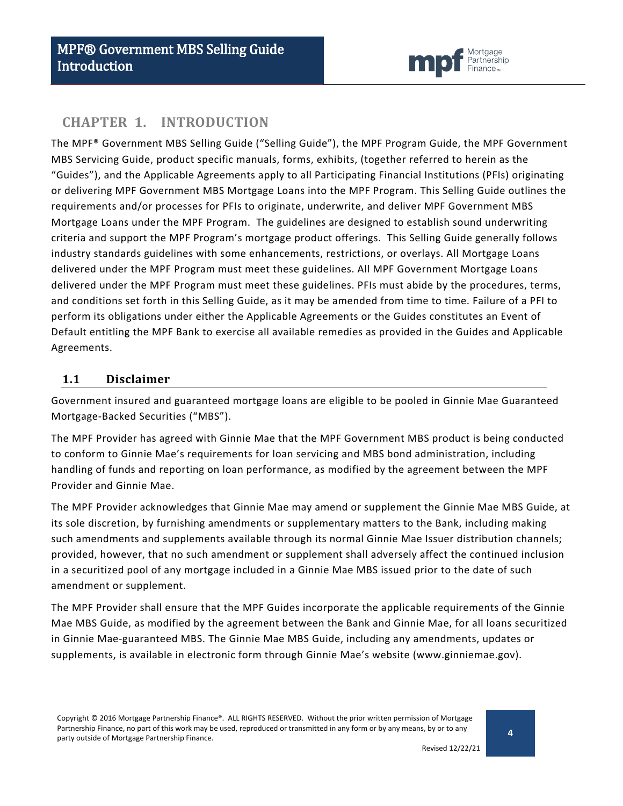

## <span id="page-3-0"></span>**CHAPTER 1. INTRODUCTION**

The MPF® Government MBS Selling Guide ("Selling Guide"), the MPF Program Guide, the MPF Government MBS Servicing Guide, product specific manuals, forms, exhibits, (together referred to herein as the "Guides"), and the Applicable Agreements apply to all Participating Financial Institutions (PFIs) originating or delivering MPF Government MBS Mortgage Loans into the MPF Program. This Selling Guide outlines the requirements and/or processes for PFIs to originate, underwrite, and deliver MPF Government MBS Mortgage Loans under the MPF Program. The guidelines are designed to establish sound underwriting criteria and support the MPF Program's mortgage product offerings. This Selling Guide generally follows industry standards guidelines with some enhancements, restrictions, or overlays. All Mortgage Loans delivered under the MPF Program must meet these guidelines. All MPF Government Mortgage Loans delivered under the MPF Program must meet these guidelines. PFIs must abide by the procedures, terms, and conditions set forth in this Selling Guide, as it may be amended from time to time. Failure of a PFI to perform its obligations under either the Applicable Agreements or the Guides constitutes an Event of Default entitling the MPF Bank to exercise all available remedies as provided in the Guides and Applicable Agreements.

#### <span id="page-3-1"></span>**1.1 Disclaimer**

Government insured and guaranteed mortgage loans are eligible to be pooled in Ginnie Mae Guaranteed Mortgage-Backed Securities ("MBS").

The MPF Provider has agreed with Ginnie Mae that the MPF Government MBS product is being conducted to conform to Ginnie Mae's requirements for loan servicing and MBS bond administration, including handling of funds and reporting on loan performance, as modified by the agreement between the MPF Provider and Ginnie Mae.

The MPF Provider acknowledges that Ginnie Mae may amend or supplement the Ginnie Mae MBS Guide, at its sole discretion, by furnishing amendments or supplementary matters to the Bank, including making such amendments and supplements available through its normal Ginnie Mae Issuer distribution channels; provided, however, that no such amendment or supplement shall adversely affect the continued inclusion in a securitized pool of any mortgage included in a Ginnie Mae MBS issued prior to the date of such amendment or supplement.

The MPF Provider shall ensure that the MPF Guides incorporate the applicable requirements of the Ginnie Mae MBS Guide, as modified by the agreement between the Bank and Ginnie Mae, for all loans securitized in Ginnie Mae-guaranteed MBS. The Ginnie Mae MBS Guide, including any amendments, updates or supplements, is available in electronic form through Ginnie Mae's website (www.ginniemae.gov).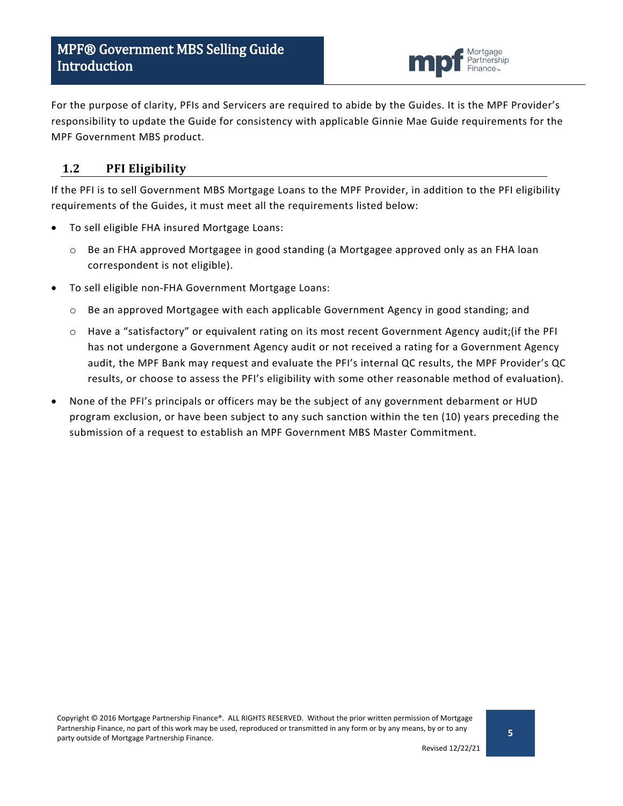

For the purpose of clarity, PFIs and Servicers are required to abide by the Guides. It is the MPF Provider's responsibility to update the Guide for consistency with applicable Ginnie Mae Guide requirements for the MPF Government MBS product.

## <span id="page-4-0"></span>**1.2 PFI Eligibility**

If the PFI is to sell Government MBS Mortgage Loans to the MPF Provider, in addition to the PFI eligibility requirements of the Guides, it must meet all the requirements listed below:

- To sell eligible FHA insured Mortgage Loans:
	- o Be an FHA approved Mortgagee in good standing (a Mortgagee approved only as an FHA loan correspondent is not eligible).
- To sell eligible non-FHA Government Mortgage Loans:
	- $\circ$  Be an approved Mortgagee with each applicable Government Agency in good standing; and
	- o Have a "satisfactory" or equivalent rating on its most recent Government Agency audit;(if the PFI has not undergone a Government Agency audit or not received a rating for a Government Agency audit, the MPF Bank may request and evaluate the PFI's internal QC results, the MPF Provider's QC results, or choose to assess the PFI's eligibility with some other reasonable method of evaluation).
- None of the PFI's principals or officers may be the subject of any government debarment or HUD program exclusion, or have been subject to any such sanction within the ten (10) years preceding the submission of a request to establish an MPF Government MBS Master Commitment.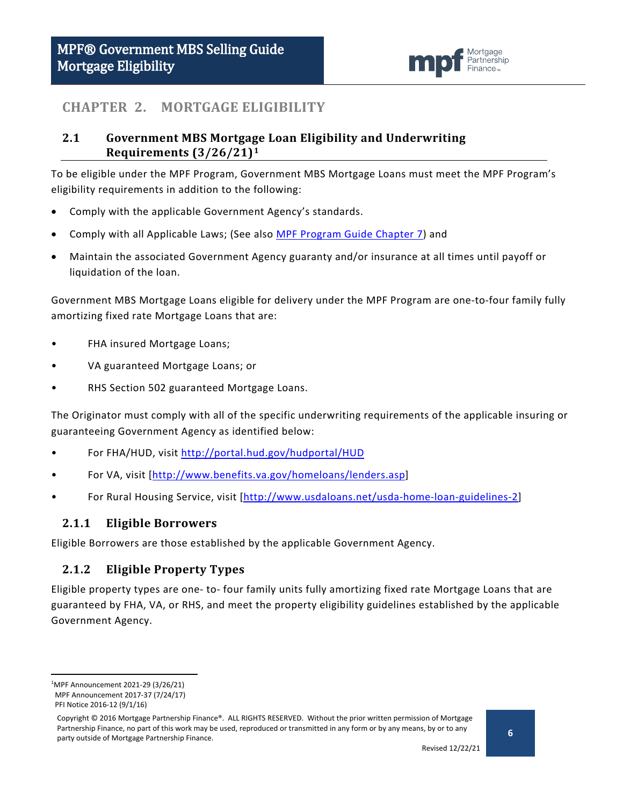

## <span id="page-5-0"></span>**CHAPTER 2. MORTGAGE ELIGIBILITY**

## <span id="page-5-1"></span>**2.1 Government MBS Mortgage Loan Eligibility and Underwriting Requirements (3/26/21)[1](#page-5-4)**

To be eligible under the MPF Program, Government MBS Mortgage Loans must meet the MPF Program's eligibility requirements in addition to the following:

- Comply with the applicable Government Agency's standards.
- Comply with all Applicable Laws; (See also [MPF Program Guide Chapter 7\)](https://www.fhlbmpf.com/docs/default-source/mpf-guides/mpf-program-guide/mpf-program-guide---5-28-20.pdf?sfvrsn=33b1ee11_0) and
- Maintain the associated Government Agency guaranty and/or insurance at all times until payoff or liquidation of the loan.

Government MBS Mortgage Loans eligible for delivery under the MPF Program are one-to-four family fully amortizing fixed rate Mortgage Loans that are:

- FHA insured Mortgage Loans;
- VA guaranteed Mortgage Loans; or
- RHS Section 502 guaranteed Mortgage Loans.

The Originator must comply with all of the specific underwriting requirements of the applicable insuring or guaranteeing Government Agency as identified below:

- For FHA/HUD, visit<http://portal.hud.gov/hudportal/HUD>
- For VA, visit [\[http://www.benefits.va.gov/homeloans/lenders.asp\]](http://www.benefits.va.gov/homeloans/lenders.asp)
- For Rural Housing Service, visit [\[http://www.usdaloans.net/usda-home-loan-guidelines-2\]](http://www.usdaloans.net/usda-home-loan-guidelines-2)

### <span id="page-5-2"></span>**2.1.1 Eligible Borrowers**

Eligible Borrowers are those established by the applicable Government Agency.

## <span id="page-5-3"></span>**2.1.2 Eligible Property Types**

Eligible property types are one- to- four family units fully amortizing fixed rate Mortgage Loans that are guaranteed by FHA, VA, or RHS, and meet the property eligibility guidelines established by the applicable Government Agency.

<span id="page-5-4"></span> $\overline{1}$ MPF Announcement 2021-29 (3/26/21) MPF Announcement 2017-37 (7/24/17)

PFI Notice 2016-12 (9/1/16)

Copyright © 2016 Mortgage Partnership Finance®. ALL RIGHTS RESERVED. Without the prior written permission of Mortgage Partnership Finance, no part of this work may be used, reproduced or transmitted in any form or by any means, by or to any party outside of Mortgage Partnership Finance.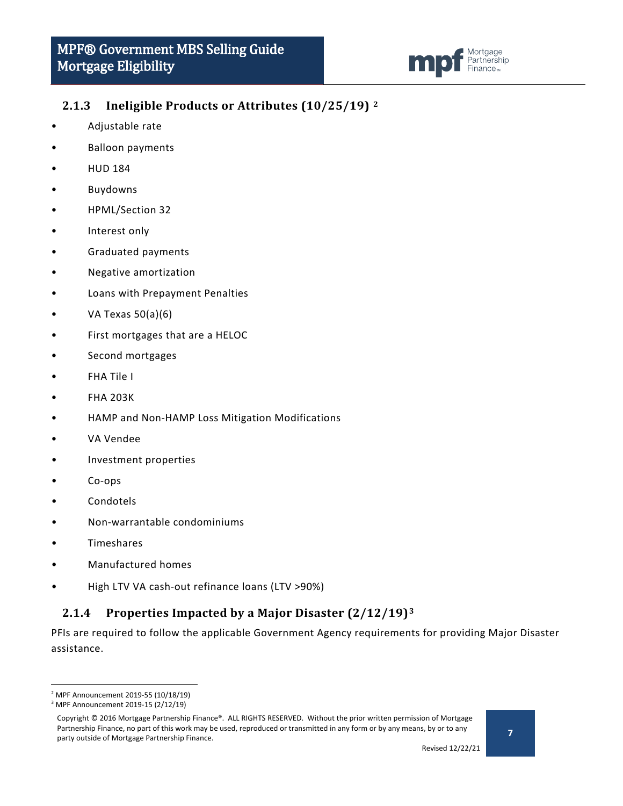

## <span id="page-6-0"></span>**2.1.3 Ineligible Products or Attributes (10/25/19) [2](#page-6-2)**

- Adjustable rate
- Balloon payments
- HUD 184
- **Buydowns**
- HPML/Section 32
- Interest only
- Graduated payments
- Negative amortization
- Loans with Prepayment Penalties
- VA Texas 50(a)(6)
- First mortgages that are a HELOC
- Second mortgages
- FHA Tile I
- FHA 203K
- HAMP and Non-HAMP Loss Mitigation Modifications
- VA Vendee
- Investment properties
- Co-ops
- Condotels
- Non-warrantable condominiums
- **Timeshares**
- Manufactured homes
- High LTV VA cash-out refinance loans (LTV >90%)

## <span id="page-6-1"></span>**2.1.4 Properties Impacted by a Major Disaster (2/12/19)[3](#page-6-3)**

PFIs are required to follow the applicable Government Agency requirements for providing Major Disaster assistance.

<span id="page-6-2"></span> <sup>2</sup> MPF Announcement 2019-55 (10/18/19)

<span id="page-6-3"></span><sup>3</sup> MPF Announcement 2019-15 (2/12/19)

Copyright © 2016 Mortgage Partnership Finance®. ALL RIGHTS RESERVED. Without the prior written permission of Mortgage Partnership Finance, no part of this work may be used, reproduced or transmitted in any form or by any means, by or to any party outside of Mortgage Partnership Finance.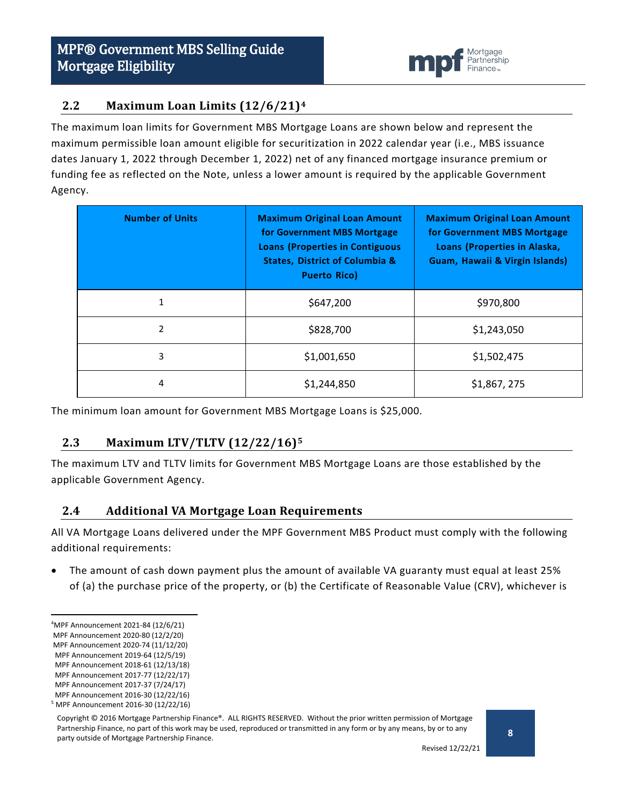

## <span id="page-7-0"></span>**2.2 Maximum Loan Limits (12/6/21)[4](#page-7-3)**

The maximum loan limits for Government MBS Mortgage Loans are shown below and represent the maximum permissible loan amount eligible for securitization in 2022 calendar year (i.e., MBS issuance dates January 1, 2022 through December 1, 2022) net of any financed mortgage insurance premium or funding fee as reflected on the Note, unless a lower amount is required by the applicable Government Agency.

| <b>Number of Units</b> | <b>Maximum Original Loan Amount</b><br>for Government MBS Mortgage<br><b>Loans (Properties in Contiguous</b><br><b>States, District of Columbia &amp;</b><br><b>Puerto Rico)</b> | <b>Maximum Original Loan Amount</b><br>for Government MBS Mortgage<br>Loans (Properties in Alaska,<br>Guam, Hawaii & Virgin Islands) |
|------------------------|----------------------------------------------------------------------------------------------------------------------------------------------------------------------------------|--------------------------------------------------------------------------------------------------------------------------------------|
| 1                      | \$647,200                                                                                                                                                                        | \$970,800                                                                                                                            |
| 2                      | \$828,700                                                                                                                                                                        | \$1,243,050                                                                                                                          |
| 3                      | \$1,001,650                                                                                                                                                                      | \$1,502,475                                                                                                                          |
| 4                      | \$1,244,850                                                                                                                                                                      | \$1,867, 275                                                                                                                         |

The minimum loan amount for Government MBS Mortgage Loans is \$25,000.

### <span id="page-7-1"></span>**2.3 Maximum LTV/TLTV (12/22/16)[5](#page-7-4)**

The maximum LTV and TLTV limits for Government MBS Mortgage Loans are those established by the applicable Government Agency.

#### <span id="page-7-2"></span>**2.4 Additional VA Mortgage Loan Requirements**

All VA Mortgage Loans delivered under the MPF Government MBS Product must comply with the following additional requirements:

• The amount of cash down payment plus the amount of available VA guaranty must equal at least 25% of (a) the purchase price of the property, or (b) the Certificate of Reasonable Value (CRV), whichever is

<span id="page-7-3"></span> $\frac{1}{4}$ MPF Announcement 2021-84 (12/6/21)

MPF Announcement 2020-80 (12/2/20)

MPF Announcement 2020-74 (11/12/20)

MPF Announcement 2019-64 (12/5/19)

MPF Announcement 2018-61 (12/13/18)

MPF Announcement 2017-77 (12/22/17)

MPF Announcement 2017-37 (7/24/17)

<span id="page-7-4"></span>MPF Announcement 2016-30 (12/22/16) <sup>5</sup> MPF Announcement 2016-30 (12/22/16)

Copyright © 2016 Mortgage Partnership Finance®. ALL RIGHTS RESERVED. Without the prior written permission of Mortgage Partnership Finance, no part of this work may be used, reproduced or transmitted in any form or by any means, by or to any party outside of Mortgage Partnership Finance.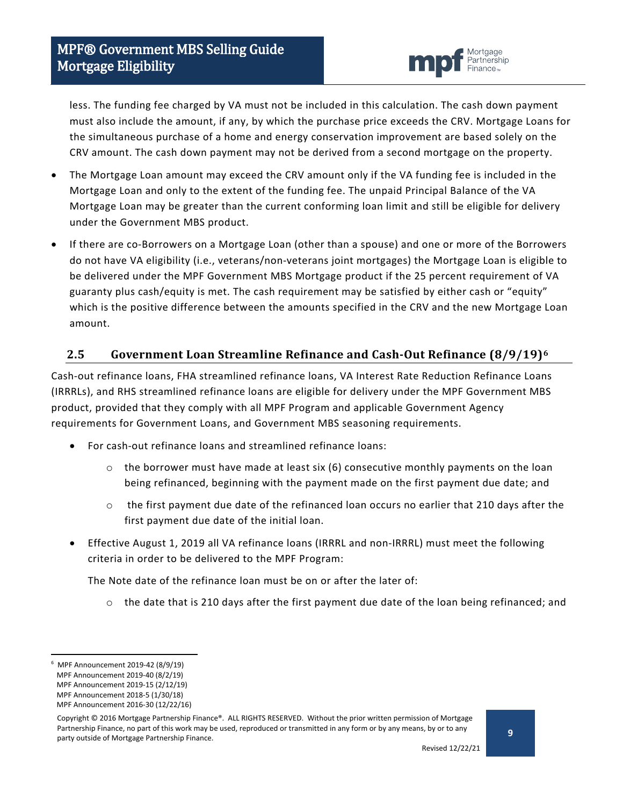

less. The funding fee charged by VA must not be included in this calculation. The cash down payment must also include the amount, if any, by which the purchase price exceeds the CRV. Mortgage Loans for the simultaneous purchase of a home and energy conservation improvement are based solely on the CRV amount. The cash down payment may not be derived from a second mortgage on the property.

- The Mortgage Loan amount may exceed the CRV amount only if the VA funding fee is included in the Mortgage Loan and only to the extent of the funding fee. The unpaid Principal Balance of the VA Mortgage Loan may be greater than the current conforming loan limit and still be eligible for delivery under the Government MBS product.
- If there are co-Borrowers on a Mortgage Loan (other than a spouse) and one or more of the Borrowers do not have VA eligibility (i.e., veterans/non-veterans joint mortgages) the Mortgage Loan is eligible to be delivered under the MPF Government MBS Mortgage product if the 25 percent requirement of VA guaranty plus cash/equity is met. The cash requirement may be satisfied by either cash or "equity" which is the positive difference between the amounts specified in the CRV and the new Mortgage Loan amount.

## <span id="page-8-0"></span>**2.5 Government Loan Streamline Refinance and Cash-Out Refinance (8/9/19)[6](#page-8-1)**

Cash-out refinance loans, FHA streamlined refinance loans, VA Interest Rate Reduction Refinance Loans (IRRRLs), and RHS streamlined refinance loans are eligible for delivery under the MPF Government MBS product, provided that they comply with all MPF Program and applicable Government Agency requirements for Government Loans, and Government MBS seasoning requirements.

- For cash-out refinance loans and streamlined refinance loans:
	- $\circ$  the borrower must have made at least six (6) consecutive monthly payments on the loan being refinanced, beginning with the payment made on the first payment due date; and
	- $\circ$  the first payment due date of the refinanced loan occurs no earlier that 210 days after the first payment due date of the initial loan.
- Effective August 1, 2019 all VA refinance loans (IRRRL and non-IRRRL) must meet the following criteria in order to be delivered to the MPF Program:

The Note date of the refinance loan must be on or after the later of:

 $\circ$  the date that is 210 days after the first payment due date of the loan being refinanced; and

<span id="page-8-1"></span><sup>-&</sup>lt;br>6 MPF Announcement 2019-42 (8/9/19)

MPF Announcement 2019-40 (8/2/19)

MPF Announcement 2019-15 (2/12/19)

MPF Announcement 2018-5 (1/30/18)

MPF Announcement 2016-30 (12/22/16)

Copyright © 2016 Mortgage Partnership Finance®. ALL RIGHTS RESERVED. Without the prior written permission of Mortgage Partnership Finance, no part of this work may be used, reproduced or transmitted in any form or by any means, by or to any party outside of Mortgage Partnership Finance.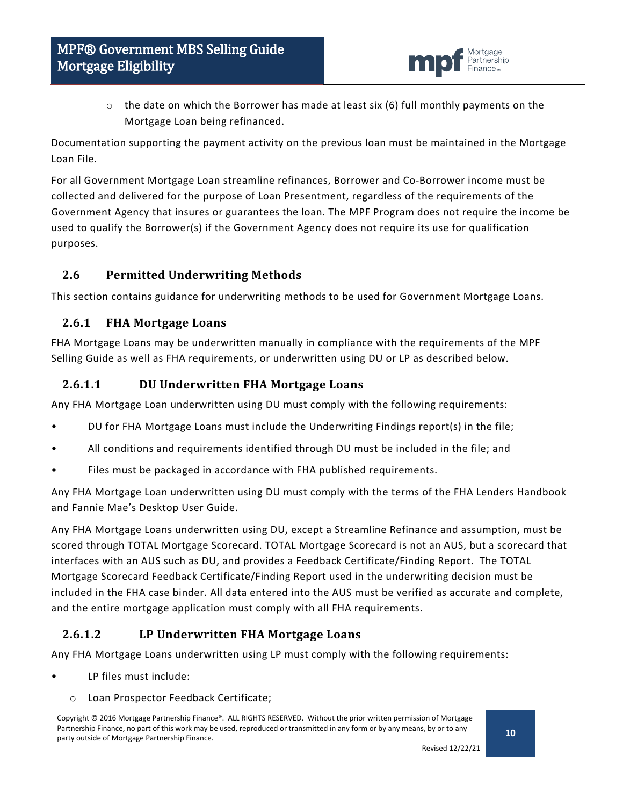

 $\circ$  the date on which the Borrower has made at least six (6) full monthly payments on the Mortgage Loan being refinanced.

Documentation supporting the payment activity on the previous loan must be maintained in the Mortgage Loan File.

For all Government Mortgage Loan streamline refinances, Borrower and Co-Borrower income must be collected and delivered for the purpose of Loan Presentment, regardless of the requirements of the Government Agency that insures or guarantees the loan. The MPF Program does not require the income be used to qualify the Borrower(s) if the Government Agency does not require its use for qualification purposes.

## <span id="page-9-0"></span>**2.6 Permitted Underwriting Methods**

This section contains guidance for underwriting methods to be used for Government Mortgage Loans.

### <span id="page-9-1"></span>**2.6.1 FHA Mortgage Loans**

FHA Mortgage Loans may be underwritten manually in compliance with the requirements of the MPF Selling Guide as well as FHA requirements, or underwritten using DU or LP as described below.

### **2.6.1.1 DU Underwritten FHA Mortgage Loans**

Any FHA Mortgage Loan underwritten using DU must comply with the following requirements:

- DU for FHA Mortgage Loans must include the Underwriting Findings report(s) in the file;
- All conditions and requirements identified through DU must be included in the file; and
- Files must be packaged in accordance with FHA published requirements.

Any FHA Mortgage Loan underwritten using DU must comply with the terms of the FHA Lenders Handbook and Fannie Mae's Desktop User Guide.

Any FHA Mortgage Loans underwritten using DU, except a Streamline Refinance and assumption, must be scored through TOTAL Mortgage Scorecard. TOTAL Mortgage Scorecard is not an AUS, but a scorecard that interfaces with an AUS such as DU, and provides a Feedback Certificate/Finding Report. The TOTAL Mortgage Scorecard Feedback Certificate/Finding Report used in the underwriting decision must be included in the FHA case binder. All data entered into the AUS must be verified as accurate and complete, and the entire mortgage application must comply with all FHA requirements.

## **2.6.1.2 LP Underwritten FHA Mortgage Loans**

Any FHA Mortgage Loans underwritten using LP must comply with the following requirements:

- LP files must include:
	- o Loan Prospector Feedback Certificate;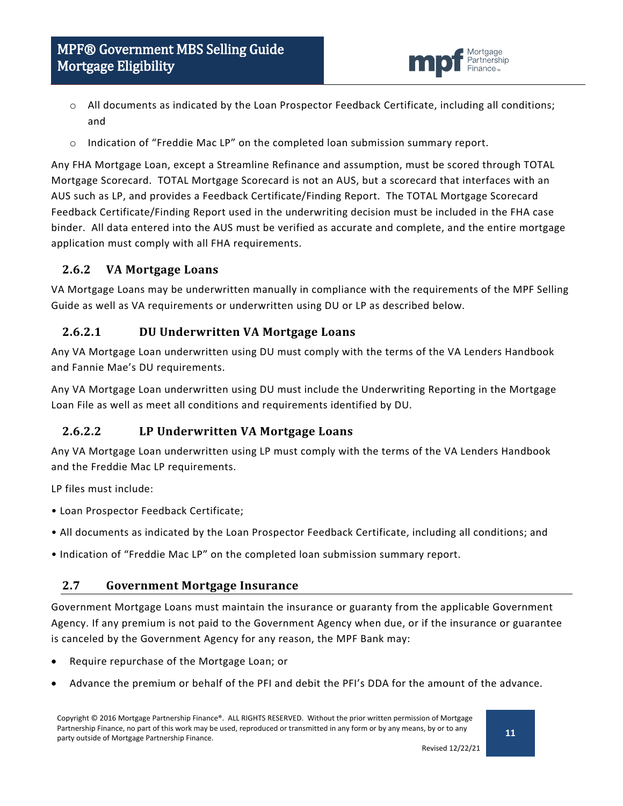

- o All documents as indicated by the Loan Prospector Feedback Certificate, including all conditions; and
- o Indication of "Freddie Mac LP" on the completed loan submission summary report.

Any FHA Mortgage Loan, except a Streamline Refinance and assumption, must be scored through TOTAL Mortgage Scorecard. TOTAL Mortgage Scorecard is not an AUS, but a scorecard that interfaces with an AUS such as LP, and provides a Feedback Certificate/Finding Report. The TOTAL Mortgage Scorecard Feedback Certificate/Finding Report used in the underwriting decision must be included in the FHA case binder. All data entered into the AUS must be verified as accurate and complete, and the entire mortgage application must comply with all FHA requirements.

### <span id="page-10-0"></span>**2.6.2 VA Mortgage Loans**

VA Mortgage Loans may be underwritten manually in compliance with the requirements of the MPF Selling Guide as well as VA requirements or underwritten using DU or LP as described below.

## **2.6.2.1 DU Underwritten VA Mortgage Loans**

Any VA Mortgage Loan underwritten using DU must comply with the terms of the VA Lenders Handbook and Fannie Mae's DU requirements.

Any VA Mortgage Loan underwritten using DU must include the Underwriting Reporting in the Mortgage Loan File as well as meet all conditions and requirements identified by DU.

## **2.6.2.2 LP Underwritten VA Mortgage Loans**

Any VA Mortgage Loan underwritten using LP must comply with the terms of the VA Lenders Handbook and the Freddie Mac LP requirements.

LP files must include:

- Loan Prospector Feedback Certificate;
- All documents as indicated by the Loan Prospector Feedback Certificate, including all conditions; and
- Indication of "Freddie Mac LP" on the completed loan submission summary report.

### <span id="page-10-1"></span>**2.7 Government Mortgage Insurance**

Government Mortgage Loans must maintain the insurance or guaranty from the applicable Government Agency. If any premium is not paid to the Government Agency when due, or if the insurance or guarantee is canceled by the Government Agency for any reason, the MPF Bank may:

- Require repurchase of the Mortgage Loan; or
- Advance the premium or behalf of the PFI and debit the PFI's DDA for the amount of the advance.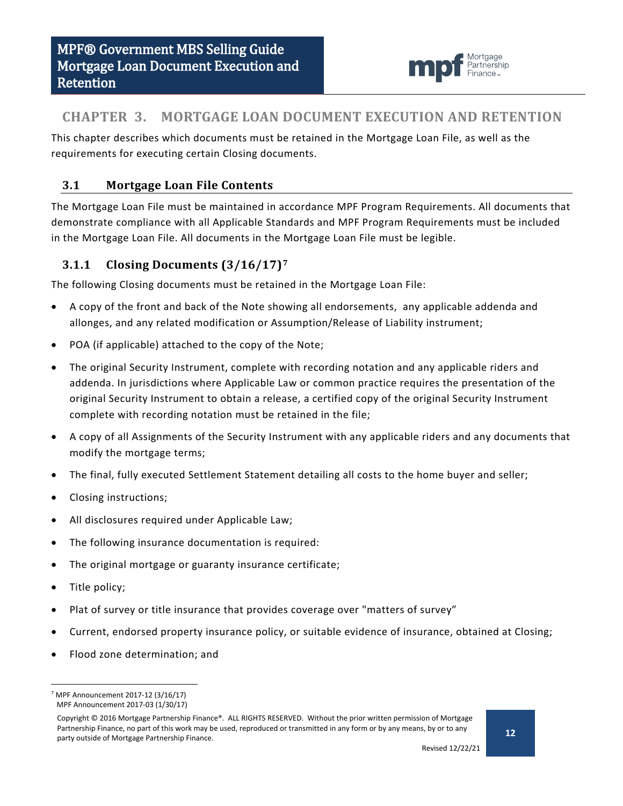

## <span id="page-11-0"></span>**CHAPTER 3. MORTGAGE LOAN DOCUMENT EXECUTION AND RETENTION**

This chapter describes which documents must be retained in the Mortgage Loan File, as well as the requirements for executing certain Closing documents.

## <span id="page-11-1"></span>**3.1 Mortgage Loan File Contents**

The Mortgage Loan File must be maintained in accordance MPF Program Requirements. All documents that demonstrate compliance with all Applicable Standards and MPF Program Requirements must be included in the Mortgage Loan File. All documents in the Mortgage Loan File must be legible.

## <span id="page-11-2"></span>**3.1.1 Closing Documents (3/16/17)[7](#page-11-3)**

The following Closing documents must be retained in the Mortgage Loan File:

- A copy of the front and back of the Note showing all endorsements, any applicable addenda and allonges, and any related modification or Assumption/Release of Liability instrument;
- POA (if applicable) attached to the copy of the Note;
- The original Security Instrument, complete with recording notation and any applicable riders and addenda. In jurisdictions where Applicable Law or common practice requires the presentation of the original Security Instrument to obtain a release, a certified copy of the original Security Instrument complete with recording notation must be retained in the file;
- A copy of all Assignments of the Security Instrument with any applicable riders and any documents that modify the mortgage terms;
- The final, fully executed Settlement Statement detailing all costs to the home buyer and seller;
- Closing instructions;
- All disclosures required under Applicable Law;
- The following insurance documentation is required:
- The original mortgage or guaranty insurance certificate;
- Title policy;
- Plat of survey or title insurance that provides coverage over "matters of survey"
- Current, endorsed property insurance policy, or suitable evidence of insurance, obtained at Closing;
- Flood zone determination; and

<span id="page-11-3"></span> $7$  MPF Announcement 2017-12 (3/16/17) MPF Announcement 2017-03 (1/30/17)

Copyright © 2016 Mortgage Partnership Finance®. ALL RIGHTS RESERVED. Without the prior written permission of Mortgage Partnership Finance, no part of this work may be used, reproduced or transmitted in any form or by any means, by or to any party outside of Mortgage Partnership Finance.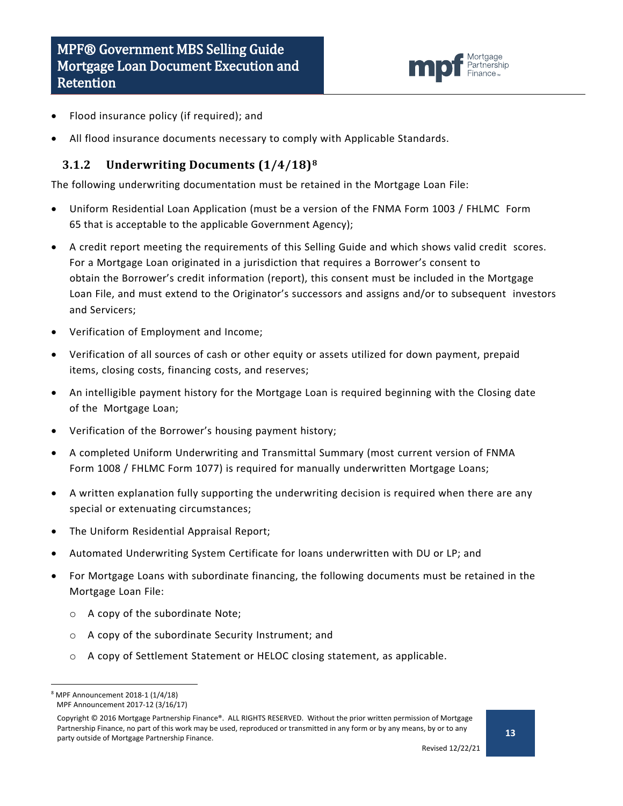

- Flood insurance policy (if required); and
- All flood insurance documents necessary to comply with Applicable Standards.

#### <span id="page-12-0"></span>**3.1.2 Underwriting Documents (1/4/18)[8](#page-12-1)**

The following underwriting documentation must be retained in the Mortgage Loan File:

- Uniform Residential Loan Application (must be a version of the FNMA Form 1003 / FHLMC Form 65 that is acceptable to the applicable Government Agency);
- A credit report meeting the requirements of this Selling Guide and which shows valid credit scores. For a Mortgage Loan originated in a jurisdiction that requires a Borrower's consent to obtain the Borrower's credit information (report), this consent must be included in the Mortgage Loan File, and must extend to the Originator's successors and assigns and/or to subsequent investors and Servicers;
- Verification of Employment and Income;
- Verification of all sources of cash or other equity or assets utilized for down payment, prepaid items, closing costs, financing costs, and reserves;
- An intelligible payment history for the Mortgage Loan is required beginning with the Closing date of the Mortgage Loan;
- Verification of the Borrower's housing payment history;
- A completed Uniform Underwriting and Transmittal Summary (most current version of FNMA Form 1008 / FHLMC Form 1077) is required for manually underwritten Mortgage Loans;
- A written explanation fully supporting the underwriting decision is required when there are any special or extenuating circumstances;
- The Uniform Residential Appraisal Report;
- Automated Underwriting System Certificate for loans underwritten with DU or LP; and
- For Mortgage Loans with subordinate financing, the following documents must be retained in the Mortgage Loan File:
	- o A copy of the subordinate Note;
	- o A copy of the subordinate Security Instrument; and
	- o A copy of Settlement Statement or HELOC closing statement, as applicable.

<span id="page-12-1"></span> <sup>8</sup> MPF Announcement 2018-1 (1/4/18) MPF Announcement 2017-12 (3/16/17)

Copyright © 2016 Mortgage Partnership Finance®. ALL RIGHTS RESERVED. Without the prior written permission of Mortgage Partnership Finance, no part of this work may be used, reproduced or transmitted in any form or by any means, by or to any party outside of Mortgage Partnership Finance.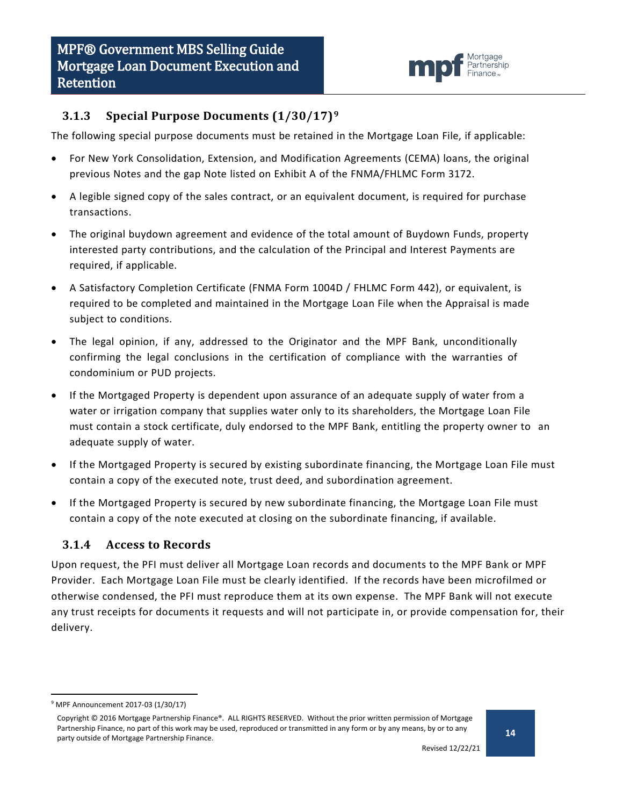

## <span id="page-13-0"></span>**3.1.3 Special Purpose Documents (1/30/17)[9](#page-13-2)**

The following special purpose documents must be retained in the Mortgage Loan File, if applicable:

- For New York Consolidation, Extension, and Modification Agreements (CEMA) loans, the original previous Notes and the gap Note listed on Exhibit A of the FNMA/FHLMC Form 3172.
- A legible signed copy of the sales contract, or an equivalent document, is required for purchase transactions.
- The original buydown agreement and evidence of the total amount of Buydown Funds, property interested party contributions, and the calculation of the Principal and Interest Payments are required, if applicable.
- A Satisfactory Completion Certificate (FNMA Form 1004D / FHLMC Form 442), or equivalent, is required to be completed and maintained in the Mortgage Loan File when the Appraisal is made subject to conditions.
- The legal opinion, if any, addressed to the Originator and the MPF Bank, unconditionally confirming the legal conclusions in the certification of compliance with the warranties of condominium or PUD projects.
- If the Mortgaged Property is dependent upon assurance of an adequate supply of water from a water or irrigation company that supplies water only to its shareholders, the Mortgage Loan File must contain a stock certificate, duly endorsed to the MPF Bank, entitling the property owner to an adequate supply of water.
- If the Mortgaged Property is secured by existing subordinate financing, the Mortgage Loan File must contain a copy of the executed note, trust deed, and subordination agreement.
- If the Mortgaged Property is secured by new subordinate financing, the Mortgage Loan File must contain a copy of the note executed at closing on the subordinate financing, if available.

### <span id="page-13-1"></span>**3.1.4 Access to Records**

Upon request, the PFI must deliver all Mortgage Loan records and documents to the MPF Bank or MPF Provider. Each Mortgage Loan File must be clearly identified. If the records have been microfilmed or otherwise condensed, the PFI must reproduce them at its own expense. The MPF Bank will not execute any trust receipts for documents it requests and will not participate in, or provide compensation for, their delivery.

<span id="page-13-2"></span> <sup>9</sup> MPF Announcement 2017-03 (1/30/17)

Copyright © 2016 Mortgage Partnership Finance®. ALL RIGHTS RESERVED. Without the prior written permission of Mortgage Partnership Finance, no part of this work may be used, reproduced or transmitted in any form or by any means, by or to any party outside of Mortgage Partnership Finance.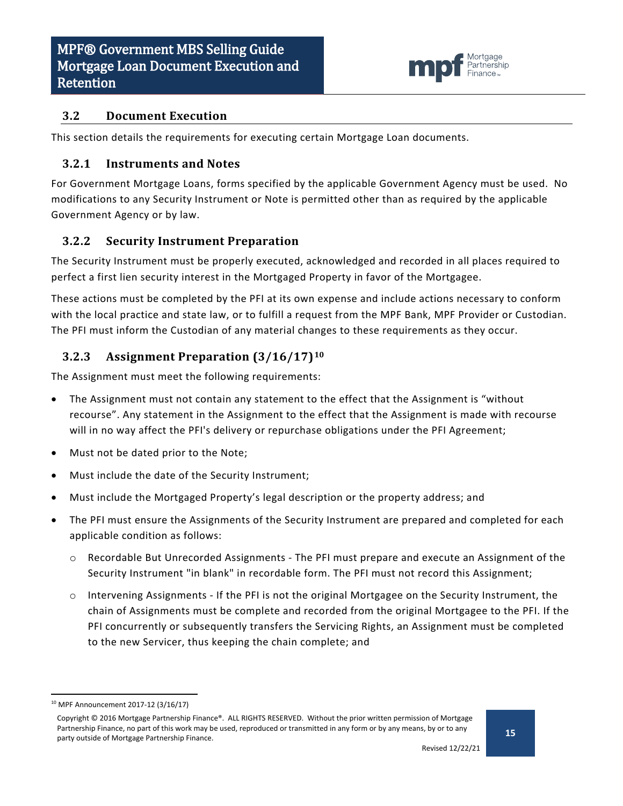

#### <span id="page-14-0"></span>**3.2 Document Execution**

This section details the requirements for executing certain Mortgage Loan documents.

#### <span id="page-14-1"></span>**3.2.1 Instruments and Notes**

For Government Mortgage Loans, forms specified by the applicable Government Agency must be used. No modifications to any Security Instrument or Note is permitted other than as required by the applicable Government Agency or by law.

### <span id="page-14-2"></span>**3.2.2 Security Instrument Preparation**

The Security Instrument must be properly executed, acknowledged and recorded in all places required to perfect a first lien security interest in the Mortgaged Property in favor of the Mortgagee.

These actions must be completed by the PFI at its own expense and include actions necessary to conform with the local practice and state law, or to fulfill a request from the MPF Bank, MPF Provider or Custodian. The PFI must inform the Custodian of any material changes to these requirements as they occur.

## <span id="page-14-3"></span>**3.2.3 Assignment Preparation (3/16/17)[10](#page-14-4)**

The Assignment must meet the following requirements:

- The Assignment must not contain any statement to the effect that the Assignment is "without recourse". Any statement in the Assignment to the effect that the Assignment is made with recourse will in no way affect the PFI's delivery or repurchase obligations under the PFI Agreement;
- Must not be dated prior to the Note;
- Must include the date of the Security Instrument;
- Must include the Mortgaged Property's legal description or the property address; and
- The PFI must ensure the Assignments of the Security Instrument are prepared and completed for each applicable condition as follows:
	- o Recordable But Unrecorded Assignments The PFI must prepare and execute an Assignment of the Security Instrument "in blank" in recordable form. The PFI must not record this Assignment;
	- o Intervening Assignments If the PFI is not the original Mortgagee on the Security Instrument, the chain of Assignments must be complete and recorded from the original Mortgagee to the PFI. If the PFI concurrently or subsequently transfers the Servicing Rights, an Assignment must be completed to the new Servicer, thus keeping the chain complete; and

<span id="page-14-4"></span> <sup>10</sup> MPF Announcement 2017-12 (3/16/17)

Copyright © 2016 Mortgage Partnership Finance®. ALL RIGHTS RESERVED. Without the prior written permission of Mortgage Partnership Finance, no part of this work may be used, reproduced or transmitted in any form or by any means, by or to any party outside of Mortgage Partnership Finance.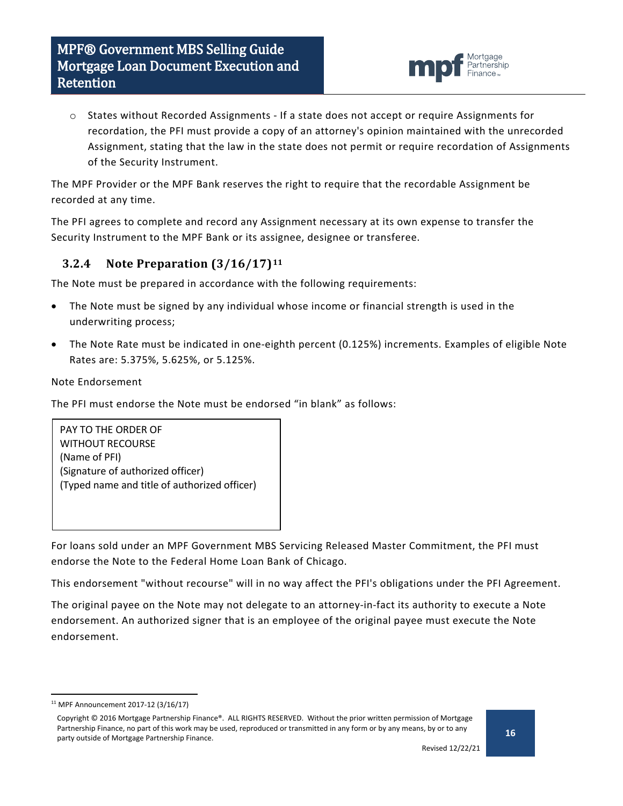

o States without Recorded Assignments - If a state does not accept or require Assignments for recordation, the PFI must provide a copy of an attorney's opinion maintained with the unrecorded Assignment, stating that the law in the state does not permit or require recordation of Assignments of the Security Instrument.

The MPF Provider or the MPF Bank reserves the right to require that the recordable Assignment be recorded at any time.

The PFI agrees to complete and record any Assignment necessary at its own expense to transfer the Security Instrument to the MPF Bank or its assignee, designee or transferee.

## <span id="page-15-0"></span>**3.2.4 Note Preparation (3/16/17)[11](#page-15-1)**

The Note must be prepared in accordance with the following requirements:

- The Note must be signed by any individual whose income or financial strength is used in the underwriting process;
- The Note Rate must be indicated in one-eighth percent (0.125%) increments. Examples of eligible Note Rates are: 5.375%, 5.625%, or 5.125%.

#### Note Endorsement

The PFI must endorse the Note must be endorsed "in blank" as follows:

PAY TO THE ORDER OF WITHOUT RECOURSE (Name of PFI) (Signature of authorized officer) (Typed name and title of authorized officer)

For loans sold under an MPF Government MBS Servicing Released Master Commitment, the PFI must endorse the Note to the Federal Home Loan Bank of Chicago.

This endorsement "without recourse" will in no way affect the PFI's obligations under the PFI Agreement.

The original payee on the Note may not delegate to an attorney-in-fact its authority to execute a Note endorsement. An authorized signer that is an employee of the original payee must execute the Note endorsement.

<span id="page-15-1"></span> <sup>11</sup> MPF Announcement 2017-12 (3/16/17)

Copyright © 2016 Mortgage Partnership Finance®. ALL RIGHTS RESERVED. Without the prior written permission of Mortgage Partnership Finance, no part of this work may be used, reproduced or transmitted in any form or by any means, by or to any party outside of Mortgage Partnership Finance.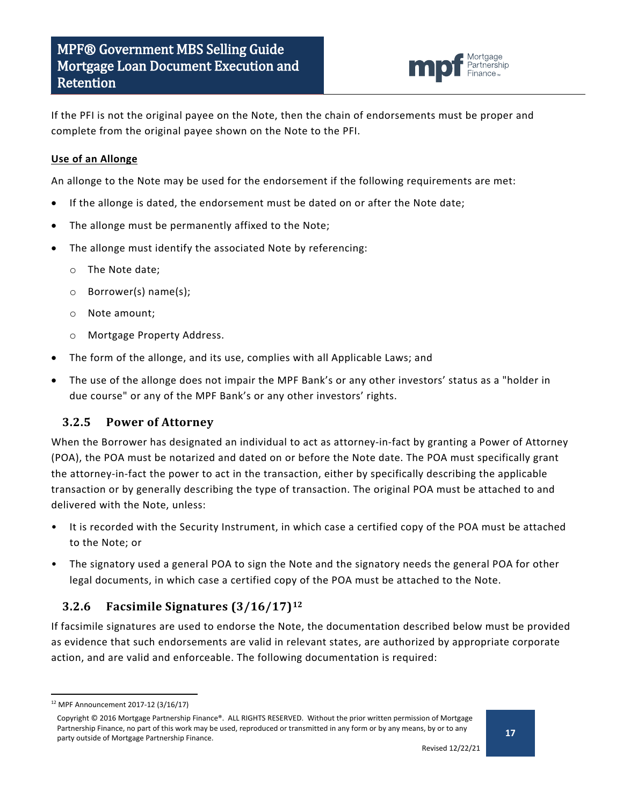

If the PFI is not the original payee on the Note, then the chain of endorsements must be proper and complete from the original payee shown on the Note to the PFI.

#### **Use of an Allonge**

An allonge to the Note may be used for the endorsement if the following requirements are met:

- If the allonge is dated, the endorsement must be dated on or after the Note date;
- The allonge must be permanently affixed to the Note;
- The allonge must identify the associated Note by referencing:
	- o The Note date;
	- o Borrower(s) name(s);
	- o Note amount;
	- o Mortgage Property Address.
- The form of the allonge, and its use, complies with all Applicable Laws; and
- The use of the allonge does not impair the MPF Bank's or any other investors' status as a "holder in due course" or any of the MPF Bank's or any other investors' rights.

### <span id="page-16-0"></span>**3.2.5 Power of Attorney**

When the Borrower has designated an individual to act as attorney-in-fact by granting a Power of Attorney (POA), the POA must be notarized and dated on or before the Note date. The POA must specifically grant the attorney-in-fact the power to act in the transaction, either by specifically describing the applicable transaction or by generally describing the type of transaction. The original POA must be attached to and delivered with the Note, unless:

- It is recorded with the Security Instrument, in which case a certified copy of the POA must be attached to the Note; or
- The signatory used a general POA to sign the Note and the signatory needs the general POA for other legal documents, in which case a certified copy of the POA must be attached to the Note.

### <span id="page-16-1"></span>**3.2.6 Facsimile Signatures (3/16/17)[12](#page-16-2)**

If facsimile signatures are used to endorse the Note, the documentation described below must be provided as evidence that such endorsements are valid in relevant states, are authorized by appropriate corporate action, and are valid and enforceable. The following documentation is required:

<span id="page-16-2"></span> <sup>12</sup> MPF Announcement 2017-12 (3/16/17)

Copyright © 2016 Mortgage Partnership Finance®. ALL RIGHTS RESERVED. Without the prior written permission of Mortgage Partnership Finance, no part of this work may be used, reproduced or transmitted in any form or by any means, by or to any party outside of Mortgage Partnership Finance.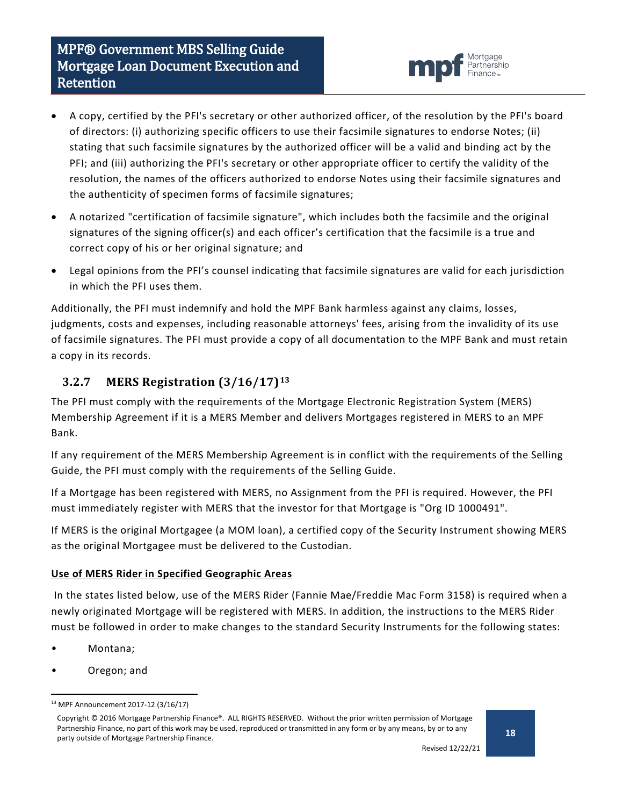# MPF® Government MBS Selling Guide Mortgage Loan Document Execution and Retention



- A copy, certified by the PFI's secretary or other authorized officer, of the resolution by the PFI's board of directors: (i) authorizing specific officers to use their facsimile signatures to endorse Notes; (ii) stating that such facsimile signatures by the authorized officer will be a valid and binding act by the PFI; and (iii) authorizing the PFI's secretary or other appropriate officer to certify the validity of the resolution, the names of the officers authorized to endorse Notes using their facsimile signatures and the authenticity of specimen forms of facsimile signatures;
- A notarized "certification of facsimile signature", which includes both the facsimile and the original signatures of the signing officer(s) and each officer's certification that the facsimile is a true and correct copy of his or her original signature; and
- Legal opinions from the PFI's counsel indicating that facsimile signatures are valid for each jurisdiction in which the PFI uses them.

Additionally, the PFI must indemnify and hold the MPF Bank harmless against any claims, losses, judgments, costs and expenses, including reasonable attorneys' fees, arising from the invalidity of its use of facsimile signatures. The PFI must provide a copy of all documentation to the MPF Bank and must retain a copy in its records.

## <span id="page-17-0"></span>**3.2.7 MERS Registration (3/16/17)[13](#page-17-1)**

The PFI must comply with the requirements of the Mortgage Electronic Registration System (MERS) Membership Agreement if it is a MERS Member and delivers Mortgages registered in MERS to an MPF Bank.

If any requirement of the MERS Membership Agreement is in conflict with the requirements of the Selling Guide, the PFI must comply with the requirements of the Selling Guide.

If a Mortgage has been registered with MERS, no Assignment from the PFI is required. However, the PFI must immediately register with MERS that the investor for that Mortgage is "Org ID 1000491".

If MERS is the original Mortgagee (a MOM loan), a certified copy of the Security Instrument showing MERS as the original Mortgagee must be delivered to the Custodian.

### **Use of MERS Rider in Specified Geographic Areas**

In the states listed below, use of the MERS Rider (Fannie Mae/Freddie Mac Form 3158) is required when a newly originated Mortgage will be registered with MERS. In addition, the instructions to the MERS Rider must be followed in order to make changes to the standard Security Instruments for the following states:

- Montana;
- Oregon; and

<span id="page-17-1"></span> <sup>13</sup> MPF Announcement 2017-12 (3/16/17)

Copyright © 2016 Mortgage Partnership Finance®. ALL RIGHTS RESERVED. Without the prior written permission of Mortgage Partnership Finance, no part of this work may be used, reproduced or transmitted in any form or by any means, by or to any party outside of Mortgage Partnership Finance.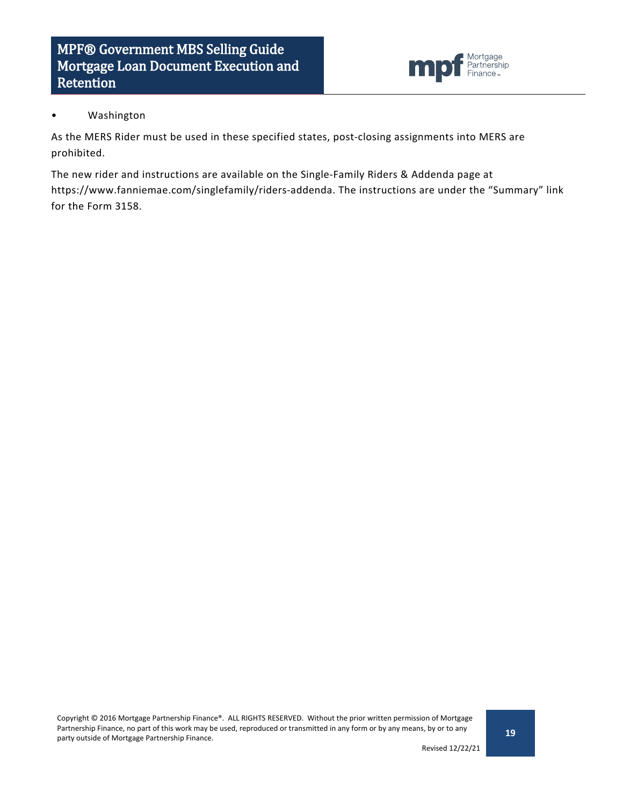

#### • Washington

As the MERS Rider must be used in these specified states, post-closing assignments into MERS are prohibited.

The new rider and instructions are available on the Single-Family Riders & Addenda page at https://www.fanniemae.com/singlefamily/riders-addenda. The instructions are under the "Summary" link for the Form 3158.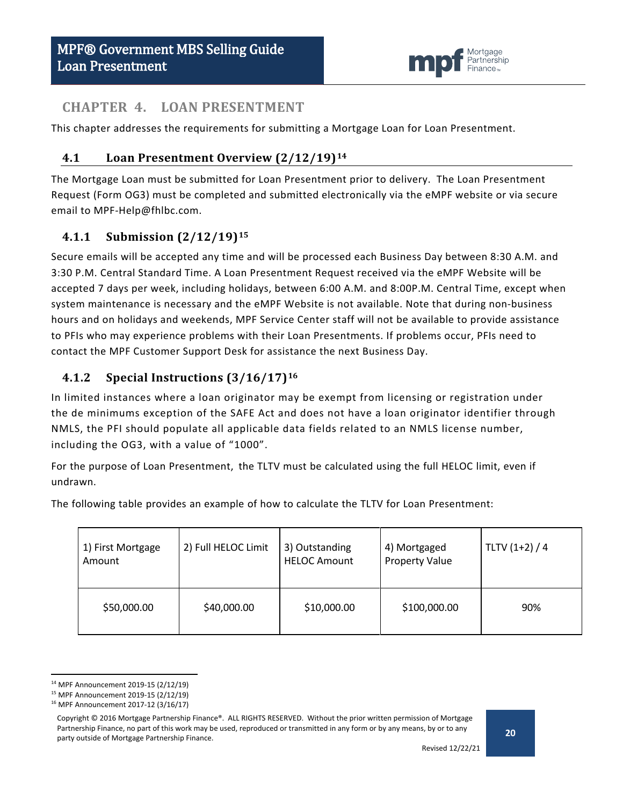

## <span id="page-19-0"></span>**CHAPTER 4. LOAN PRESENTMENT**

<span id="page-19-1"></span>This chapter addresses the requirements for submitting a Mortgage Loan for Loan Presentment.

## **4.1 Loan Presentment Overview (2/12/19)[14](#page-19-4)**

The Mortgage Loan must be submitted for Loan Presentment prior to delivery. The Loan Presentment Request (Form OG3) must be completed and submitted electronically via the eMPF website or via secure email to MPF-Help@fhlbc.com.

## <span id="page-19-2"></span>**4.1.1 Submission (2/12/19)[15](#page-19-5)**

Secure emails will be accepted any time and will be processed each Business Day between 8:30 A.M. and 3:30 P.M. Central Standard Time. A Loan Presentment Request received via the eMPF Website will be accepted 7 days per week, including holidays, between 6:00 A.M. and 8:00P.M. Central Time, except when system maintenance is necessary and the eMPF Website is not available. Note that during non-business hours and on holidays and weekends, MPF Service Center staff will not be available to provide assistance to PFIs who may experience problems with their Loan Presentments. If problems occur, PFIs need to contact the MPF Customer Support Desk for assistance the next Business Day.

## <span id="page-19-3"></span>**4.1.2 Special Instructions (3/16/17)[16](#page-19-6)**

In limited instances where a loan originator may be exempt from licensing or registration under the de minimums exception of the SAFE Act and does not have a loan originator identifier through NMLS, the PFI should populate all applicable data fields related to an NMLS license number, including the OG3, with a value of "1000".

For the purpose of Loan Presentment, the TLTV must be calculated using the full HELOC limit, even if undrawn.

The following table provides an example of how to calculate the TLTV for Loan Presentment:

| 1) First Mortgage<br>Amount | 2) Full HELOC Limit | 3) Outstanding<br><b>HELOC Amount</b> | 4) Mortgaged<br><b>Property Value</b> | TLTV $(1+2) / 4$ |
|-----------------------------|---------------------|---------------------------------------|---------------------------------------|------------------|
| \$50,000.00                 | \$40,000.00         | \$10,000.00                           | \$100,000.00                          | 90%              |

<span id="page-19-4"></span> <sup>14</sup> MPF Announcement 2019-15 (2/12/19)

<span id="page-19-6"></span><span id="page-19-5"></span><sup>15</sup> MPF Announcement 2019-15 (2/12/19)

<sup>16</sup> MPF Announcement 2017-12 (3/16/17)

Copyright © 2016 Mortgage Partnership Finance®. ALL RIGHTS RESERVED. Without the prior written permission of Mortgage Partnership Finance, no part of this work may be used, reproduced or transmitted in any form or by any means, by or to any party outside of Mortgage Partnership Finance.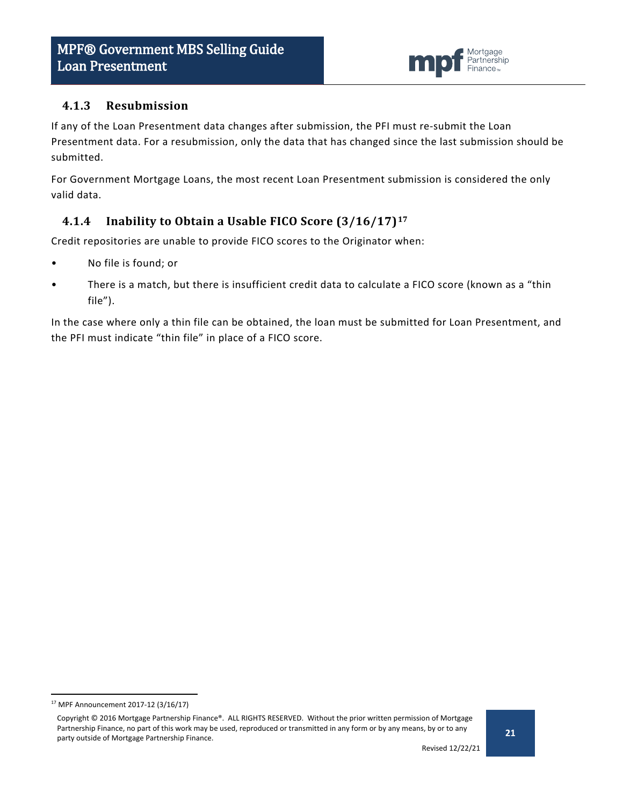

### <span id="page-20-0"></span>**4.1.3 Resubmission**

If any of the Loan Presentment data changes after submission, the PFI must re-submit the Loan Presentment data. For a resubmission, only the data that has changed since the last submission should be submitted.

For Government Mortgage Loans, the most recent Loan Presentment submission is considered the only valid data.

## <span id="page-20-1"></span>**4.1.4 Inability to Obtain a Usable FICO Score (3/16/17)[17](#page-20-2)**

Credit repositories are unable to provide FICO scores to the Originator when:

- No file is found; or
- There is a match, but there is insufficient credit data to calculate a FICO score (known as a "thin file").

In the case where only a thin file can be obtained, the loan must be submitted for Loan Presentment, and the PFI must indicate "thin file" in place of a FICO score.

<span id="page-20-2"></span> <sup>17</sup> MPF Announcement 2017-12 (3/16/17)

Copyright © 2016 Mortgage Partnership Finance®. ALL RIGHTS RESERVED. Without the prior written permission of Mortgage Partnership Finance, no part of this work may be used, reproduced or transmitted in any form or by any means, by or to any party outside of Mortgage Partnership Finance.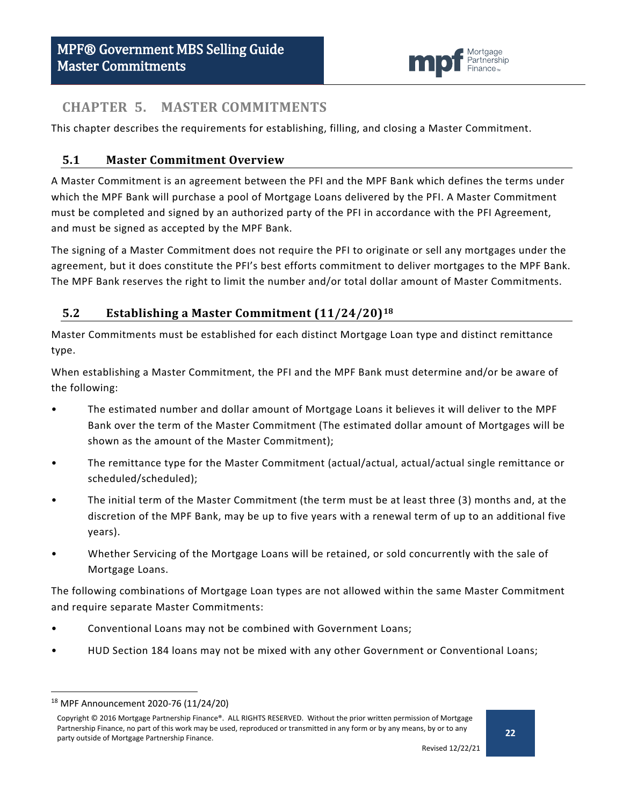

## <span id="page-21-0"></span>**CHAPTER 5. MASTER COMMITMENTS**

This chapter describes the requirements for establishing, filling, and closing a Master Commitment.

## <span id="page-21-1"></span>**5.1 Master Commitment Overview**

A Master Commitment is an agreement between the PFI and the MPF Bank which defines the terms under which the MPF Bank will purchase a pool of Mortgage Loans delivered by the PFI. A Master Commitment must be completed and signed by an authorized party of the PFI in accordance with the PFI Agreement, and must be signed as accepted by the MPF Bank.

The signing of a Master Commitment does not require the PFI to originate or sell any mortgages under the agreement, but it does constitute the PFI's best efforts commitment to deliver mortgages to the MPF Bank. The MPF Bank reserves the right to limit the number and/or total dollar amount of Master Commitments.

## <span id="page-21-2"></span>**5.2 Establishing a Master Commitment (11/24/20)[18](#page-21-3)**

Master Commitments must be established for each distinct Mortgage Loan type and distinct remittance type.

When establishing a Master Commitment, the PFI and the MPF Bank must determine and/or be aware of the following:

- The estimated number and dollar amount of Mortgage Loans it believes it will deliver to the MPF Bank over the term of the Master Commitment (The estimated dollar amount of Mortgages will be shown as the amount of the Master Commitment);
- The remittance type for the Master Commitment (actual/actual, actual/actual single remittance or scheduled/scheduled);
- The initial term of the Master Commitment (the term must be at least three (3) months and, at the discretion of the MPF Bank, may be up to five years with a renewal term of up to an additional five years).
- Whether Servicing of the Mortgage Loans will be retained, or sold concurrently with the sale of Mortgage Loans.

The following combinations of Mortgage Loan types are not allowed within the same Master Commitment and require separate Master Commitments:

- Conventional Loans may not be combined with Government Loans;
- HUD Section 184 loans may not be mixed with any other Government or Conventional Loans;

<span id="page-21-3"></span> <sup>18</sup> MPF Announcement 2020-76 (11/24/20)

Copyright © 2016 Mortgage Partnership Finance®. ALL RIGHTS RESERVED. Without the prior written permission of Mortgage Partnership Finance, no part of this work may be used, reproduced or transmitted in any form or by any means, by or to any party outside of Mortgage Partnership Finance.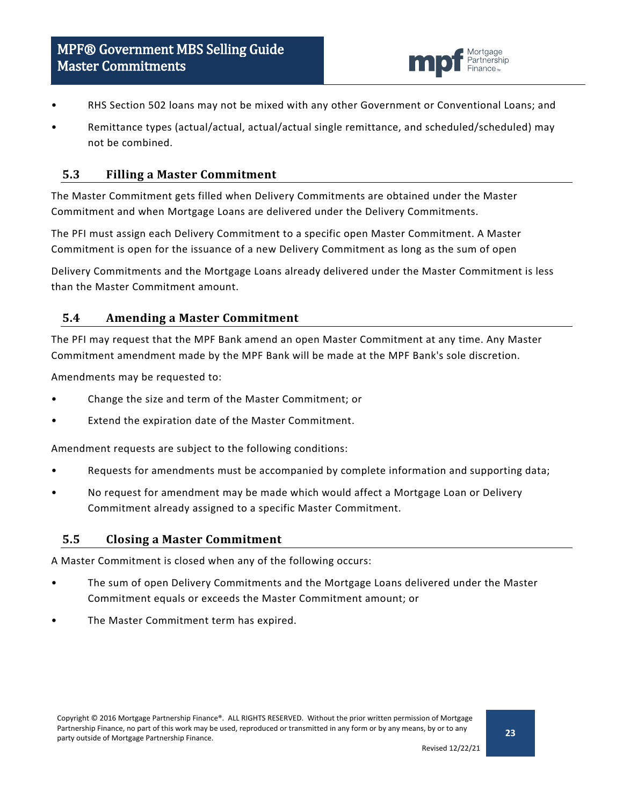

- RHS Section 502 loans may not be mixed with any other Government or Conventional Loans; and
- Remittance types (actual/actual, actual/actual single remittance, and scheduled/scheduled) may not be combined.

#### <span id="page-22-0"></span>**5.3 Filling a Master Commitment**

The Master Commitment gets filled when Delivery Commitments are obtained under the Master Commitment and when Mortgage Loans are delivered under the Delivery Commitments.

The PFI must assign each Delivery Commitment to a specific open Master Commitment. A Master Commitment is open for the issuance of a new Delivery Commitment as long as the sum of open

Delivery Commitments and the Mortgage Loans already delivered under the Master Commitment is less than the Master Commitment amount.

#### <span id="page-22-1"></span>**5.4 Amending a Master Commitment**

The PFI may request that the MPF Bank amend an open Master Commitment at any time. Any Master Commitment amendment made by the MPF Bank will be made at the MPF Bank's sole discretion.

Amendments may be requested to:

- Change the size and term of the Master Commitment; or
- Extend the expiration date of the Master Commitment.

Amendment requests are subject to the following conditions:

- Requests for amendments must be accompanied by complete information and supporting data;
- No request for amendment may be made which would affect a Mortgage Loan or Delivery Commitment already assigned to a specific Master Commitment.

#### <span id="page-22-2"></span>**5.5 Closing a Master Commitment**

A Master Commitment is closed when any of the following occurs:

- The sum of open Delivery Commitments and the Mortgage Loans delivered under the Master Commitment equals or exceeds the Master Commitment amount; or
- The Master Commitment term has expired.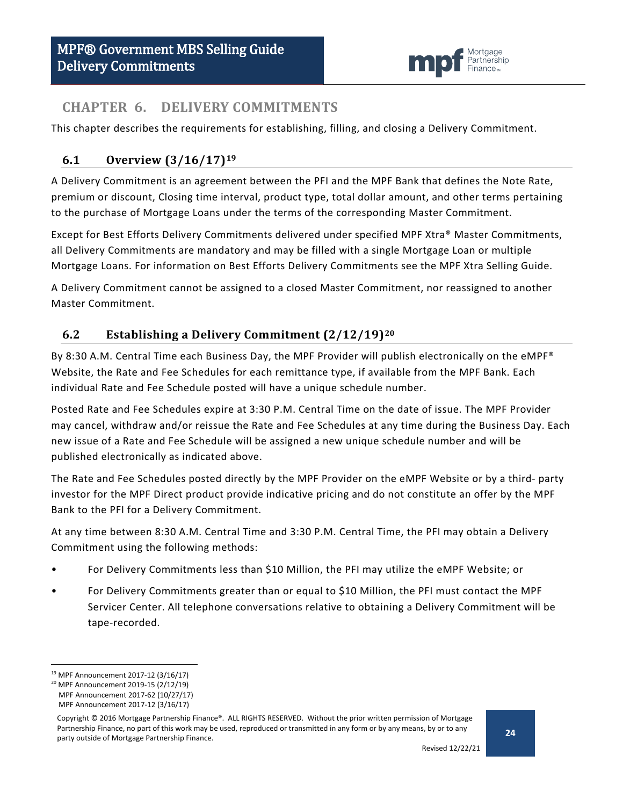

## <span id="page-23-0"></span>**CHAPTER 6. DELIVERY COMMITMENTS**

This chapter describes the requirements for establishing, filling, and closing a Delivery Commitment.

## <span id="page-23-1"></span>**6.1 Overview (3/16/17)[19](#page-23-3)**

A Delivery Commitment is an agreement between the PFI and the MPF Bank that defines the Note Rate, premium or discount, Closing time interval, product type, total dollar amount, and other terms pertaining to the purchase of Mortgage Loans under the terms of the corresponding Master Commitment.

Except for Best Efforts Delivery Commitments delivered under specified MPF Xtra® Master Commitments, all Delivery Commitments are mandatory and may be filled with a single Mortgage Loan or multiple Mortgage Loans. For information on Best Efforts Delivery Commitments see the MPF Xtra Selling Guide.

A Delivery Commitment cannot be assigned to a closed Master Commitment, nor reassigned to another Master Commitment.

## <span id="page-23-2"></span>**6.2 Establishing a Delivery Commitment (2/12/19)[20](#page-23-4)**

By 8:30 A.M. Central Time each Business Day, the MPF Provider will publish electronically on the eMPF® Website, the Rate and Fee Schedules for each remittance type, if available from the MPF Bank. Each individual Rate and Fee Schedule posted will have a unique schedule number.

Posted Rate and Fee Schedules expire at 3:30 P.M. Central Time on the date of issue. The MPF Provider may cancel, withdraw and/or reissue the Rate and Fee Schedules at any time during the Business Day. Each new issue of a Rate and Fee Schedule will be assigned a new unique schedule number and will be published electronically as indicated above.

The Rate and Fee Schedules posted directly by the MPF Provider on the eMPF Website or by a third- party investor for the MPF Direct product provide indicative pricing and do not constitute an offer by the MPF Bank to the PFI for a Delivery Commitment.

At any time between 8:30 A.M. Central Time and 3:30 P.M. Central Time, the PFI may obtain a Delivery Commitment using the following methods:

- For Delivery Commitments less than \$10 Million, the PFI may utilize the eMPF Website; or
- For Delivery Commitments greater than or equal to \$10 Million, the PFI must contact the MPF Servicer Center. All telephone conversations relative to obtaining a Delivery Commitment will be tape-recorded.

<span id="page-23-3"></span> <sup>19</sup> MPF Announcement 2017-12 (3/16/17)

<span id="page-23-4"></span><sup>20</sup> MPF Announcement 2019-15 (2/12/19)

MPF Announcement 2017-62 (10/27/17) MPF Announcement 2017-12 (3/16/17)

Copyright © 2016 Mortgage Partnership Finance®. ALL RIGHTS RESERVED. Without the prior written permission of Mortgage Partnership Finance, no part of this work may be used, reproduced or transmitted in any form or by any means, by or to any party outside of Mortgage Partnership Finance.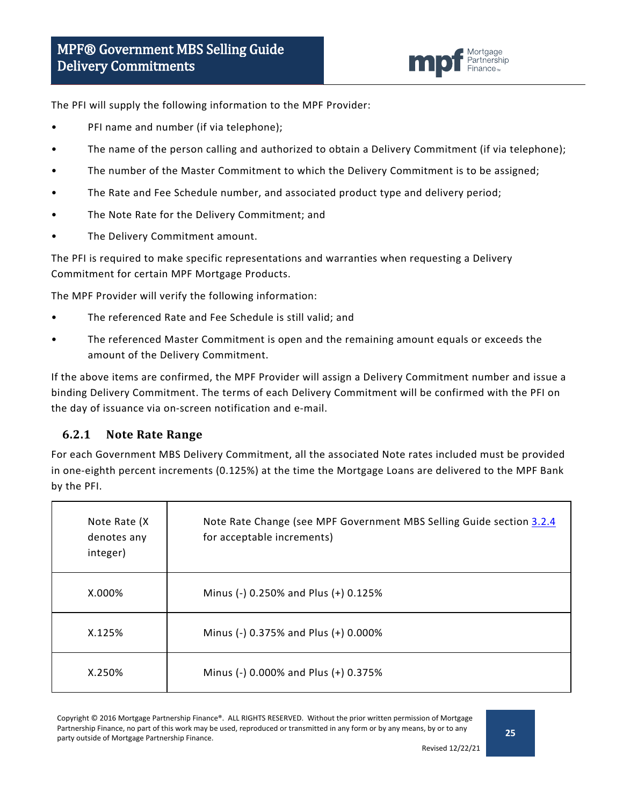

The PFI will supply the following information to the MPF Provider:

- PFI name and number (if via telephone);
- The name of the person calling and authorized to obtain a Delivery Commitment (if via telephone);
- The number of the Master Commitment to which the Delivery Commitment is to be assigned;
- The Rate and Fee Schedule number, and associated product type and delivery period;
- The Note Rate for the Delivery Commitment; and
- The Delivery Commitment amount.

The PFI is required to make specific representations and warranties when requesting a Delivery Commitment for certain MPF Mortgage Products.

The MPF Provider will verify the following information:

- The referenced Rate and Fee Schedule is still valid; and
- The referenced Master Commitment is open and the remaining amount equals or exceeds the amount of the Delivery Commitment.

If the above items are confirmed, the MPF Provider will assign a Delivery Commitment number and issue a binding Delivery Commitment. The terms of each Delivery Commitment will be confirmed with the PFI on the day of issuance via on-screen notification and e-mail.

### <span id="page-24-0"></span>**6.2.1 Note Rate Range**

For each Government MBS Delivery Commitment, all the associated Note rates included must be provided in one-eighth percent increments (0.125%) at the time the Mortgage Loans are delivered to the MPF Bank by the PFI.

| Note Rate (X)<br>denotes any<br>integer) | Note Rate Change (see MPF Government MBS Selling Guide section 3.2.4<br>for acceptable increments) |
|------------------------------------------|----------------------------------------------------------------------------------------------------|
| $X.000\%$                                | Minus (-) 0.250% and Plus (+) 0.125%                                                               |
| X.125%                                   | Minus (-) 0.375% and Plus (+) 0.000%                                                               |
| X.250%                                   | Minus (-) 0.000% and Plus (+) 0.375%                                                               |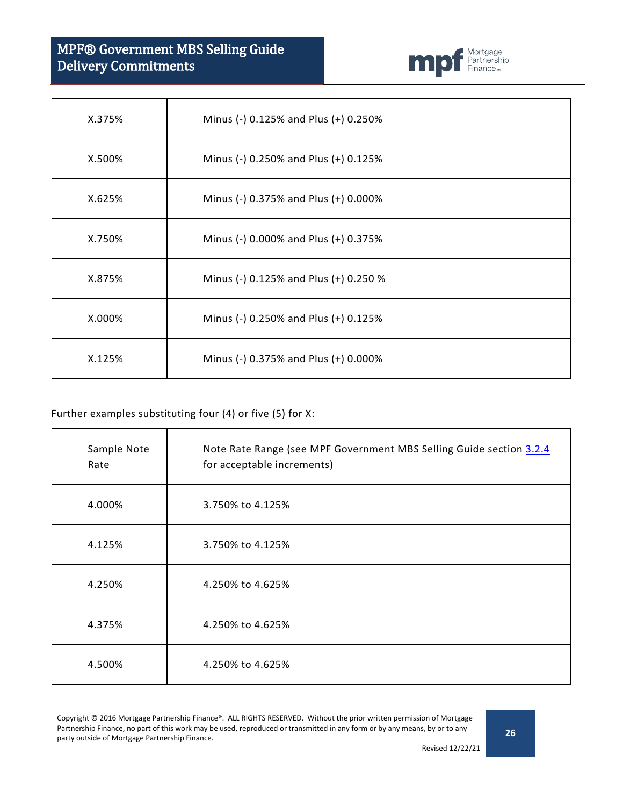# MPF® Government MBS Selling Guide Delivery Commitments



| X.375% | Minus (-) 0.125% and Plus (+) 0.250%  |
|--------|---------------------------------------|
| X.500% | Minus (-) 0.250% and Plus (+) 0.125%  |
| X.625% | Minus (-) 0.375% and Plus (+) 0.000%  |
| X.750% | Minus (-) 0.000% and Plus (+) 0.375%  |
| X.875% | Minus (-) 0.125% and Plus (+) 0.250 % |
| X.000% | Minus (-) 0.250% and Plus (+) 0.125%  |
| X.125% | Minus (-) 0.375% and Plus (+) 0.000%  |

#### Further examples substituting four (4) or five (5) for X:

| Sample Note<br>Rate | Note Rate Range (see MPF Government MBS Selling Guide section 3.2.4<br>for acceptable increments) |
|---------------------|---------------------------------------------------------------------------------------------------|
| 4.000%              | 3.750% to 4.125%                                                                                  |
| 4.125%              | 3.750% to 4.125%                                                                                  |
| 4.250%              | 4.250% to 4.625%                                                                                  |
| 4.375%              | 4.250% to 4.625%                                                                                  |
| 4.500%              | 4.250% to 4.625%                                                                                  |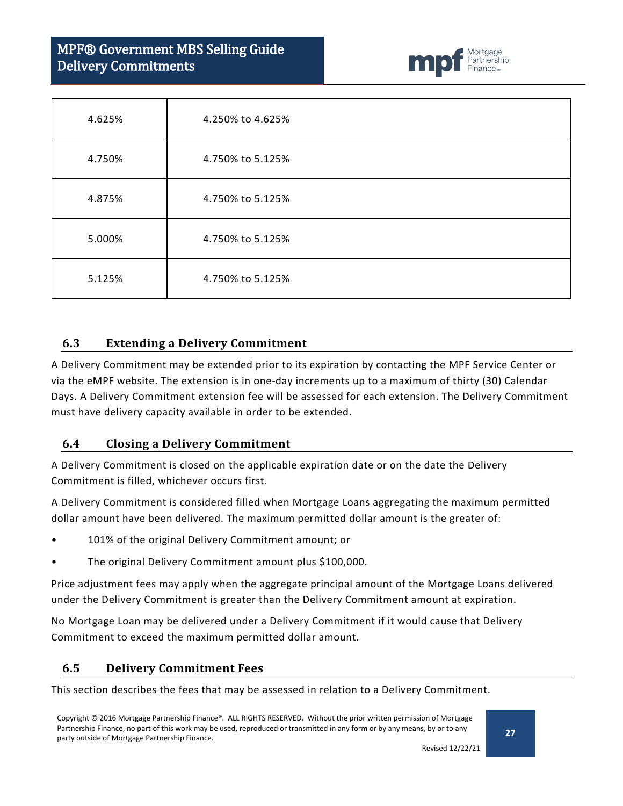# MPF® Government MBS Selling Guide Delivery Commitments



| 4.625% | 4.250% to 4.625% |
|--------|------------------|
| 4.750% | 4.750% to 5.125% |
| 4.875% | 4.750% to 5.125% |
| 5.000% | 4.750% to 5.125% |
| 5.125% | 4.750% to 5.125% |

#### <span id="page-26-0"></span>**6.3 Extending a Delivery Commitment**

A Delivery Commitment may be extended prior to its expiration by contacting the MPF Service Center or via the eMPF website. The extension is in one-day increments up to a maximum of thirty (30) Calendar Days. A Delivery Commitment extension fee will be assessed for each extension. The Delivery Commitment must have delivery capacity available in order to be extended.

#### <span id="page-26-1"></span>**6.4 Closing a Delivery Commitment**

A Delivery Commitment is closed on the applicable expiration date or on the date the Delivery Commitment is filled, whichever occurs first.

A Delivery Commitment is considered filled when Mortgage Loans aggregating the maximum permitted dollar amount have been delivered. The maximum permitted dollar amount is the greater of:

- 101% of the original Delivery Commitment amount; or
- The original Delivery Commitment amount plus \$100,000.

Price adjustment fees may apply when the aggregate principal amount of the Mortgage Loans delivered under the Delivery Commitment is greater than the Delivery Commitment amount at expiration.

No Mortgage Loan may be delivered under a Delivery Commitment if it would cause that Delivery Commitment to exceed the maximum permitted dollar amount.

### <span id="page-26-2"></span>**6.5 Delivery Commitment Fees**

This section describes the fees that may be assessed in relation to a Delivery Commitment.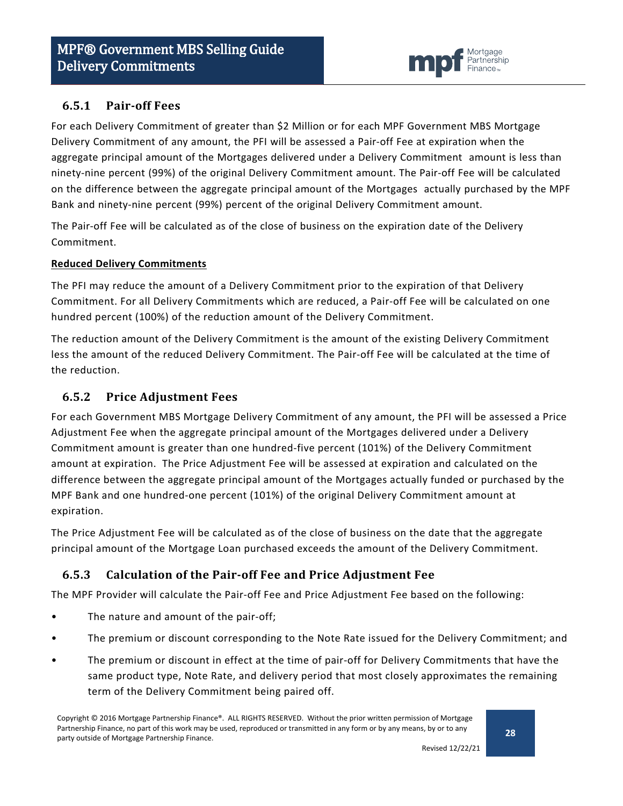

## <span id="page-27-0"></span>**6.5.1 Pair-off Fees**

For each Delivery Commitment of greater than \$2 Million or for each MPF Government MBS Mortgage Delivery Commitment of any amount, the PFI will be assessed a Pair-off Fee at expiration when the aggregate principal amount of the Mortgages delivered under a Delivery Commitment amount is less than ninety-nine percent (99%) of the original Delivery Commitment amount. The Pair-off Fee will be calculated on the difference between the aggregate principal amount of the Mortgages actually purchased by the MPF Bank and ninety-nine percent (99%) percent of the original Delivery Commitment amount.

The Pair-off Fee will be calculated as of the close of business on the expiration date of the Delivery Commitment.

#### **Reduced Delivery Commitments**

The PFI may reduce the amount of a Delivery Commitment prior to the expiration of that Delivery Commitment. For all Delivery Commitments which are reduced, a Pair-off Fee will be calculated on one hundred percent (100%) of the reduction amount of the Delivery Commitment.

The reduction amount of the Delivery Commitment is the amount of the existing Delivery Commitment less the amount of the reduced Delivery Commitment. The Pair-off Fee will be calculated at the time of the reduction.

## <span id="page-27-1"></span>**6.5.2 Price Adjustment Fees**

For each Government MBS Mortgage Delivery Commitment of any amount, the PFI will be assessed a Price Adjustment Fee when the aggregate principal amount of the Mortgages delivered under a Delivery Commitment amount is greater than one hundred-five percent (101%) of the Delivery Commitment amount at expiration. The Price Adjustment Fee will be assessed at expiration and calculated on the difference between the aggregate principal amount of the Mortgages actually funded or purchased by the MPF Bank and one hundred-one percent (101%) of the original Delivery Commitment amount at expiration.

The Price Adjustment Fee will be calculated as of the close of business on the date that the aggregate principal amount of the Mortgage Loan purchased exceeds the amount of the Delivery Commitment.

## <span id="page-27-2"></span>**6.5.3 Calculation of the Pair-off Fee and Price Adjustment Fee**

The MPF Provider will calculate the Pair-off Fee and Price Adjustment Fee based on the following:

- The nature and amount of the pair-off;
- The premium or discount corresponding to the Note Rate issued for the Delivery Commitment; and
- The premium or discount in effect at the time of pair-off for Delivery Commitments that have the same product type, Note Rate, and delivery period that most closely approximates the remaining term of the Delivery Commitment being paired off.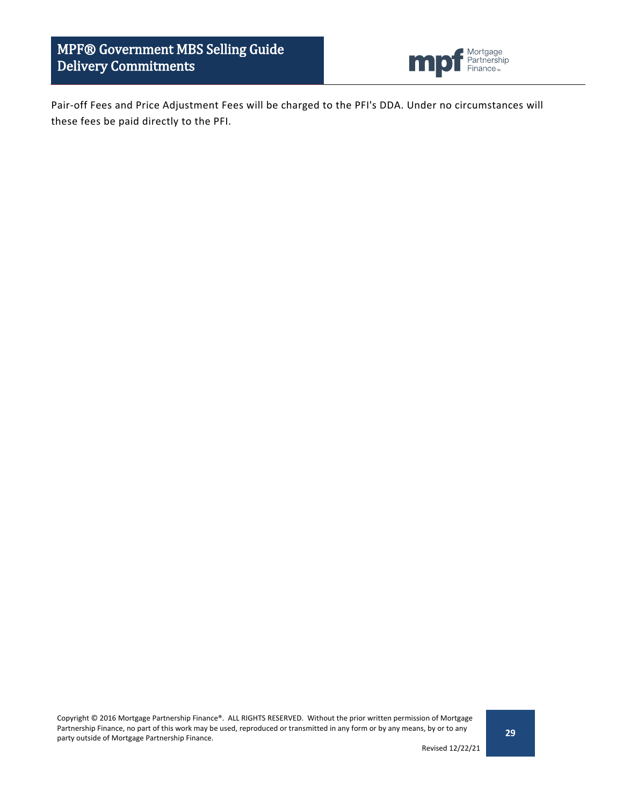MPF® Government MBS Selling Guide Delivery Commitments



Pair-off Fees and Price Adjustment Fees will be charged to the PFI's DDA. Under no circumstances will these fees be paid directly to the PFI.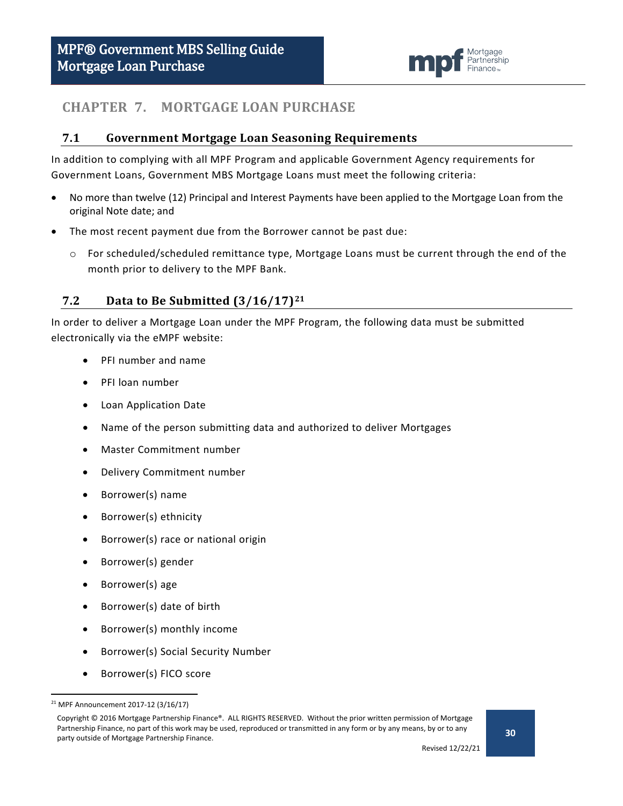

## <span id="page-29-0"></span>**CHAPTER 7. MORTGAGE LOAN PURCHASE**

#### <span id="page-29-1"></span>**7.1 Government Mortgage Loan Seasoning Requirements**

In addition to complying with all MPF Program and applicable Government Agency requirements for Government Loans, Government MBS Mortgage Loans must meet the following criteria:

- No more than twelve (12) Principal and Interest Payments have been applied to the Mortgage Loan from the original Note date; and
- The most recent payment due from the Borrower cannot be past due:
	- o For scheduled/scheduled remittance type, Mortgage Loans must be current through the end of the month prior to delivery to the MPF Bank.

## <span id="page-29-2"></span>**7.2 Data to Be Submitted (3/16/17)[21](#page-29-3)**

In order to deliver a Mortgage Loan under the MPF Program, the following data must be submitted electronically via the eMPF website:

- PFI number and name
- PFI loan number
- Loan Application Date
- Name of the person submitting data and authorized to deliver Mortgages
- Master Commitment number
- Delivery Commitment number
- Borrower(s) name
- Borrower(s) ethnicity
- Borrower(s) race or national origin
- Borrower(s) gender
- Borrower(s) age
- Borrower(s) date of birth
- Borrower(s) monthly income
- Borrower(s) Social Security Number
- Borrower(s) FICO score

<span id="page-29-3"></span> <sup>21</sup> MPF Announcement 2017-12 (3/16/17)

Copyright © 2016 Mortgage Partnership Finance®. ALL RIGHTS RESERVED. Without the prior written permission of Mortgage Partnership Finance, no part of this work may be used, reproduced or transmitted in any form or by any means, by or to any party outside of Mortgage Partnership Finance.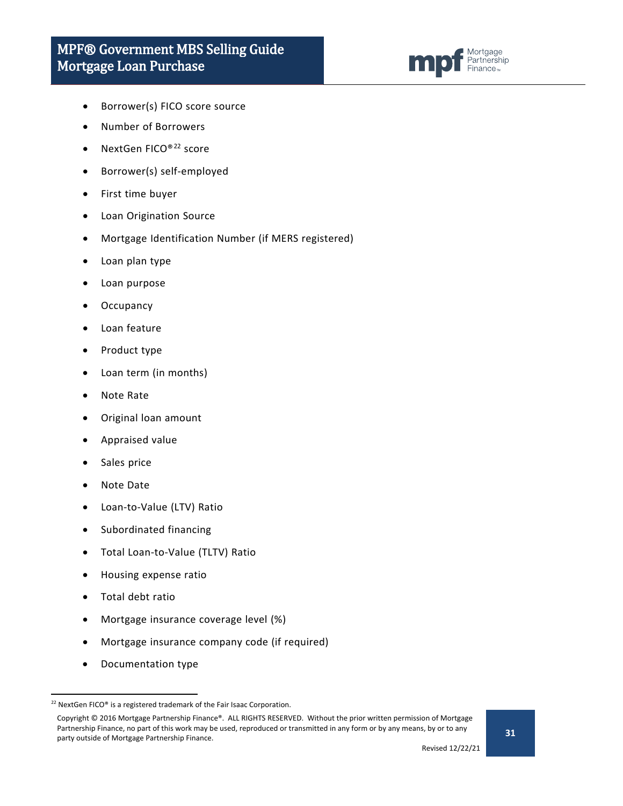

- Borrower(s) FICO score source
- Number of Borrowers
- NextGen FICO®[22](#page-30-0) score
- Borrower(s) self-employed
- First time buyer
- Loan Origination Source
- Mortgage Identification Number (if MERS registered)
- Loan plan type
- Loan purpose
- **Occupancy**
- Loan feature
- Product type
- Loan term (in months)
- Note Rate
- Original loan amount
- Appraised value
- Sales price
- Note Date
- Loan-to-Value (LTV) Ratio
- Subordinated financing
- Total Loan-to-Value (TLTV) Ratio
- Housing expense ratio
- Total debt ratio
- Mortgage insurance coverage level (%)
- Mortgage insurance company code (if required)
- Documentation type

<span id="page-30-0"></span><sup>&</sup>lt;sup>22</sup> NextGen FICO® is a registered trademark of the Fair Isaac Corporation.

Copyright © 2016 Mortgage Partnership Finance®. ALL RIGHTS RESERVED. Without the prior written permission of Mortgage Partnership Finance, no part of this work may be used, reproduced or transmitted in any form or by any means, by or to any party outside of Mortgage Partnership Finance.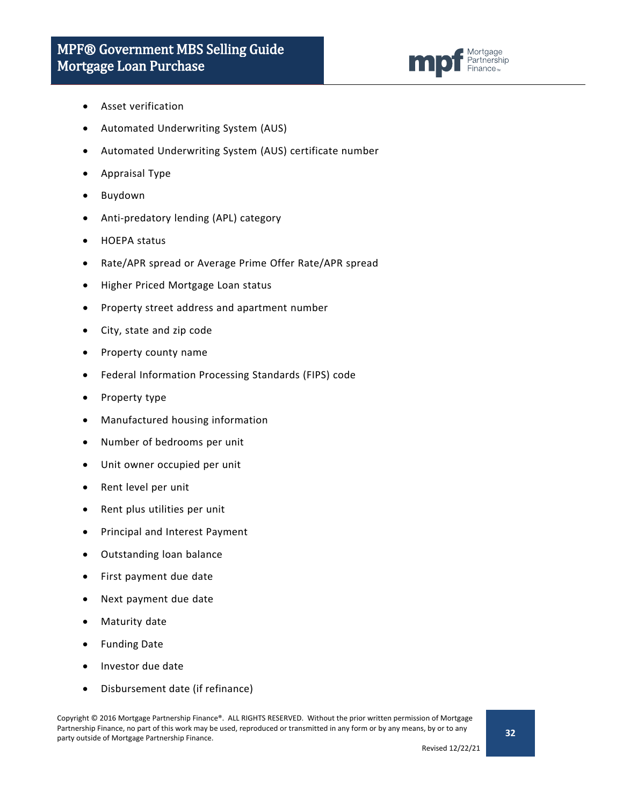

- Asset verification
- Automated Underwriting System (AUS)
- Automated Underwriting System (AUS) certificate number
- Appraisal Type
- Buydown
- Anti-predatory lending (APL) category
- HOEPA status
- Rate/APR spread or Average Prime Offer Rate/APR spread
- Higher Priced Mortgage Loan status
- Property street address and apartment number
- City, state and zip code
- Property county name
- Federal Information Processing Standards (FIPS) code
- Property type
- Manufactured housing information
- Number of bedrooms per unit
- Unit owner occupied per unit
- Rent level per unit
- Rent plus utilities per unit
- Principal and Interest Payment
- Outstanding loan balance
- First payment due date
- Next payment due date
- Maturity date
- Funding Date
- Investor due date
- Disbursement date (if refinance)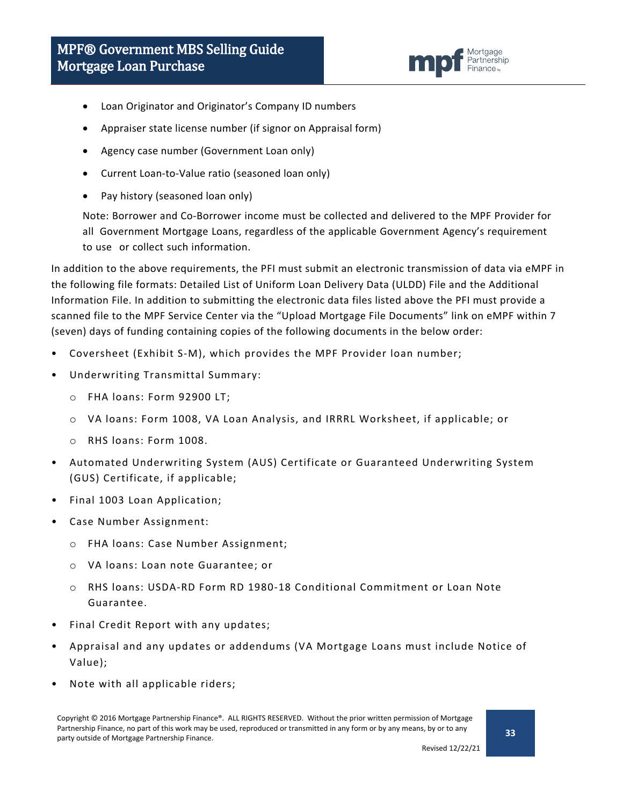

- Loan Originator and Originator's Company ID numbers
- Appraiser state license number (if signor on Appraisal form)
- Agency case number (Government Loan only)
- Current Loan-to-Value ratio (seasoned loan only)
- Pay history (seasoned loan only)

Note: Borrower and Co-Borrower income must be collected and delivered to the MPF Provider for all Government Mortgage Loans, regardless of the applicable Government Agency's requirement to use or collect such information.

In addition to the above requirements, the PFI must submit an electronic transmission of data via eMPF in the following file formats: Detailed List of Uniform Loan Delivery Data (ULDD) File and the Additional Information File. In addition to submitting the electronic data files listed above the PFI must provide a scanned file to the MPF Service Center via the "Upload Mortgage File Documents" link on eMPF within 7 (seven) days of funding containing copies of the following documents in the below order:

- Coversheet (Exhibit S-M), which provides the MPF Provider loan number;
- Underwriting Transmittal Summary:
	- o FHA loans: Form 92900 LT;
	- o VA loans: Form 1008, VA Loan Analysis, and IRRRL Worksheet, if applicable; or
	- o RHS loans: Form 1008.
- Automated Underwriting System (AUS) Certificate or Guaranteed Underwriting System (GUS) Certificate, if applicable;
- Final 1003 Loan Application;
- Case Number Assignment:
	- o FHA loans: Case Number Assignment;
	- o VA loans: Loan note Guarantee; or
	- o RHS loans: USDA-RD Form RD 1980-18 Conditional Commitment or Loan Note Guarantee.
- Final Credit Report with any updates;
- Appraisal and any updates or addendums (VA Mortgage Loans must include Notice of Value);
- Note with all applicable riders;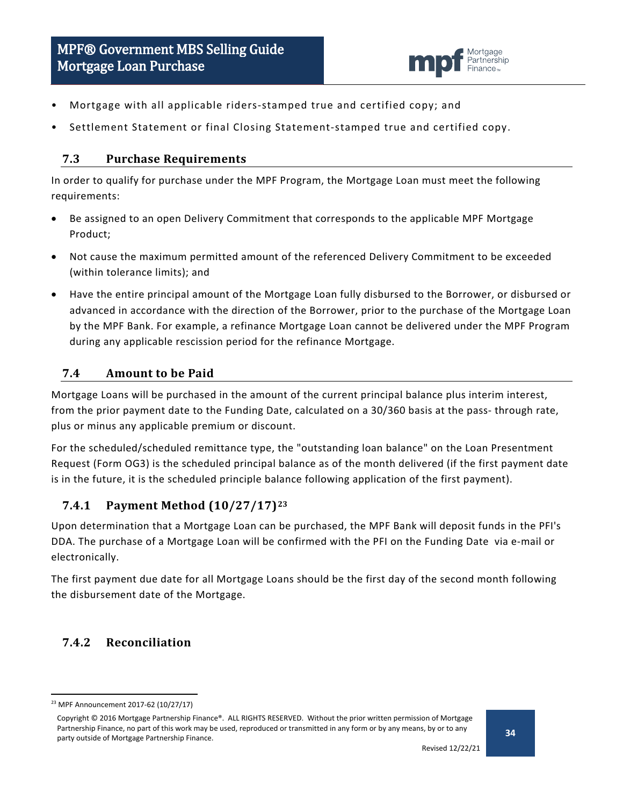

- Mortgage with all applicable riders-stamped true and certified copy; and
- Settlement Statement or final Closing Statement-stamped true and certified copy.

### <span id="page-33-0"></span>**7.3 Purchase Requirements**

In order to qualify for purchase under the MPF Program, the Mortgage Loan must meet the following requirements:

- Be assigned to an open Delivery Commitment that corresponds to the applicable MPF Mortgage Product;
- Not cause the maximum permitted amount of the referenced Delivery Commitment to be exceeded (within tolerance limits); and
- Have the entire principal amount of the Mortgage Loan fully disbursed to the Borrower, or disbursed or advanced in accordance with the direction of the Borrower, prior to the purchase of the Mortgage Loan by the MPF Bank. For example, a refinance Mortgage Loan cannot be delivered under the MPF Program during any applicable rescission period for the refinance Mortgage.

## <span id="page-33-1"></span>**7.4 Amount to be Paid**

Mortgage Loans will be purchased in the amount of the current principal balance plus interim interest, from the prior payment date to the Funding Date, calculated on a 30/360 basis at the pass- through rate, plus or minus any applicable premium or discount.

For the scheduled/scheduled remittance type, the "outstanding loan balance" on the Loan Presentment Request (Form OG3) is the scheduled principal balance as of the month delivered (if the first payment date is in the future, it is the scheduled principle balance following application of the first payment).

## <span id="page-33-2"></span>**7.4.1 Payment Method (10/27/17)[23](#page-33-4)**

Upon determination that a Mortgage Loan can be purchased, the MPF Bank will deposit funds in the PFI's DDA. The purchase of a Mortgage Loan will be confirmed with the PFI on the Funding Date via e-mail or electronically.

The first payment due date for all Mortgage Loans should be the first day of the second month following the disbursement date of the Mortgage.

## <span id="page-33-3"></span>**7.4.2 Reconciliation**

<span id="page-33-4"></span> <sup>23</sup> MPF Announcement 2017-62 (10/27/17)

Copyright © 2016 Mortgage Partnership Finance®. ALL RIGHTS RESERVED. Without the prior written permission of Mortgage Partnership Finance, no part of this work may be used, reproduced or transmitted in any form or by any means, by or to any party outside of Mortgage Partnership Finance.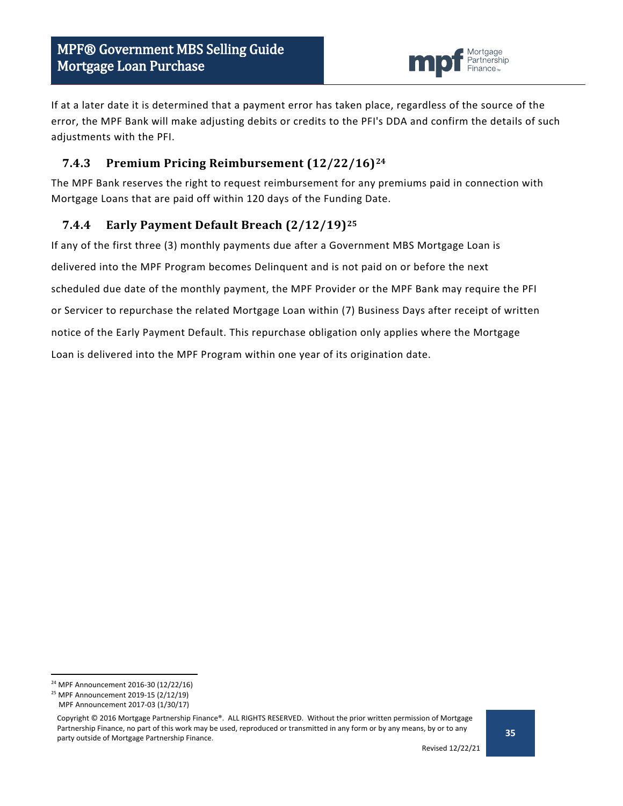

If at a later date it is determined that a payment error has taken place, regardless of the source of the error, the MPF Bank will make adjusting debits or credits to the PFI's DDA and confirm the details of such adjustments with the PFI.

## <span id="page-34-0"></span>**7.4.3 Premium Pricing Reimbursement (12/22/16)[24](#page-34-2)**

The MPF Bank reserves the right to request reimbursement for any premiums paid in connection with Mortgage Loans that are paid off within 120 days of the Funding Date.

## <span id="page-34-1"></span>**7.4.4 Early Payment Default Breach (2/12/19)[25](#page-34-3)**

If any of the first three (3) monthly payments due after a Government MBS Mortgage Loan is delivered into the MPF Program becomes Delinquent and is not paid on or before the next scheduled due date of the monthly payment, the MPF Provider or the MPF Bank may require the PFI or Servicer to repurchase the related Mortgage Loan within (7) Business Days after receipt of written notice of the Early Payment Default. This repurchase obligation only applies where the Mortgage Loan is delivered into the MPF Program within one year of its origination date.

<span id="page-34-2"></span> <sup>24</sup> MPF Announcement 2016-30 (12/22/16)

<span id="page-34-3"></span><sup>25</sup> MPF Announcement 2019-15 (2/12/19)

MPF Announcement 2017-03 (1/30/17)

Copyright © 2016 Mortgage Partnership Finance®. ALL RIGHTS RESERVED. Without the prior written permission of Mortgage Partnership Finance, no part of this work may be used, reproduced or transmitted in any form or by any means, by or to any party outside of Mortgage Partnership Finance.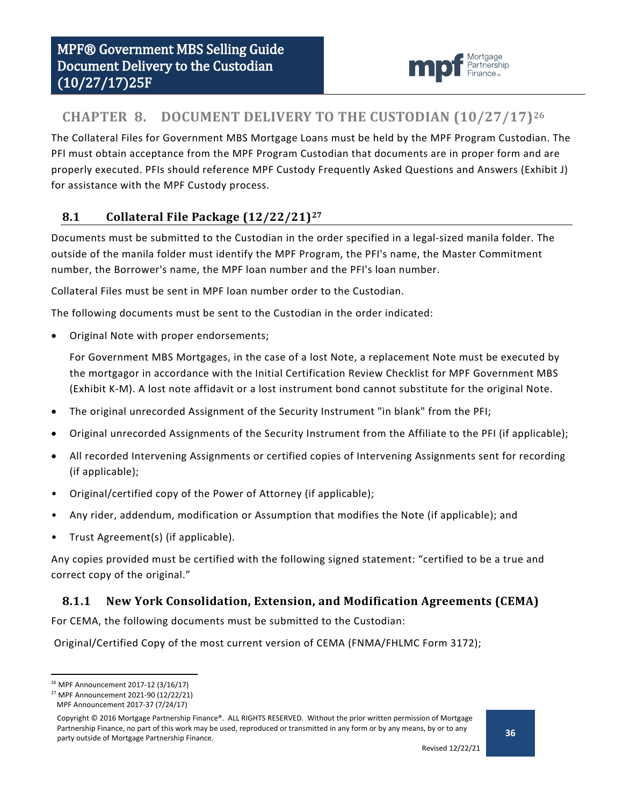

# <span id="page-35-0"></span>**CHAPTER 8. DOCUMENT DELIVERY TO THE CUSTODIAN (10/27/17)[26](#page-35-3)**

The Collateral Files for Government MBS Mortgage Loans must be held by the MPF Program Custodian. The PFI must obtain acceptance from the MPF Program Custodian that documents are in proper form and are properly executed. PFIs should reference MPF Custody Frequently Asked Questions and Answers (Exhibit J) for assistance with the MPF Custody process.

## <span id="page-35-1"></span>**8.1 Collateral File Package (12/22/21)[27](#page-35-4)**

Documents must be submitted to the Custodian in the order specified in a legal-sized manila folder. The outside of the manila folder must identify the MPF Program, the PFI's name, the Master Commitment number, the Borrower's name, the MPF loan number and the PFI's loan number.

Collateral Files must be sent in MPF loan number order to the Custodian.

The following documents must be sent to the Custodian in the order indicated:

• Original Note with proper endorsements;

For Government MBS Mortgages, in the case of a lost Note, a replacement Note must be executed by the mortgagor in accordance with the Initial Certification Review Checklist for MPF Government MBS (Exhibit K-M). A lost note affidavit or a lost instrument bond cannot substitute for the original Note.

- The original unrecorded Assignment of the Security Instrument "in blank" from the PFI;
- Original unrecorded Assignments of the Security Instrument from the Affiliate to the PFI (if applicable);
- All recorded Intervening Assignments or certified copies of Intervening Assignments sent for recording (if applicable);
- Original/certified copy of the Power of Attorney (if applicable);
- Any rider, addendum, modification or Assumption that modifies the Note (if applicable); and
- Trust Agreement(s) (if applicable).

Any copies provided must be certified with the following signed statement: "certified to be a true and correct copy of the original."

## <span id="page-35-2"></span>**8.1.1 New York Consolidation, Extension, and Modification Agreements (CEMA)**

For CEMA, the following documents must be submitted to the Custodian:

Original/Certified Copy of the most current version of CEMA (FNMA/FHLMC Form 3172);

<span id="page-35-3"></span> <sup>26</sup> MPF Announcement 2017-12 (3/16/17)

<span id="page-35-4"></span><sup>27</sup> MPF Announcement 2021-90 (12/22/21)

MPF Announcement 2017-37 (7/24/17)

Copyright © 2016 Mortgage Partnership Finance®. ALL RIGHTS RESERVED. Without the prior written permission of Mortgage Partnership Finance, no part of this work may be used, reproduced or transmitted in any form or by any means, by or to any party outside of Mortgage Partnership Finance.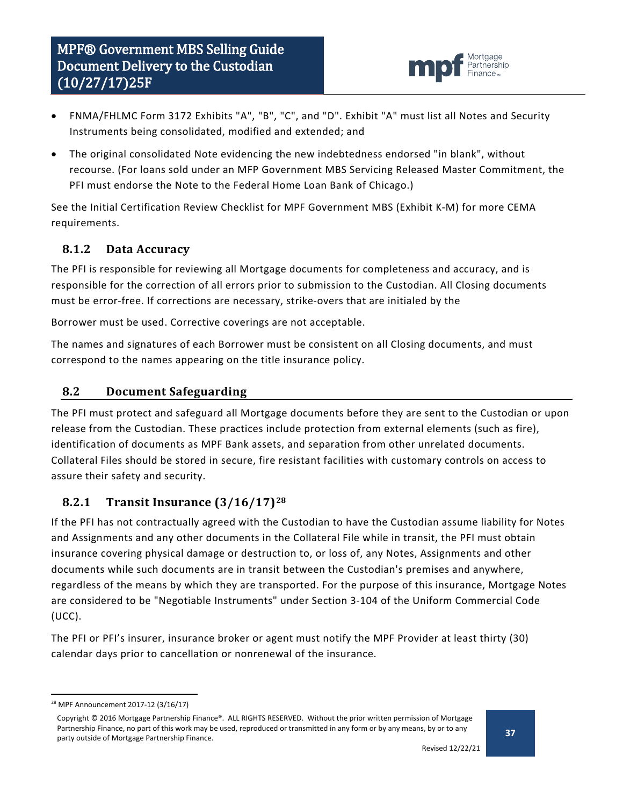

- FNMA/FHLMC Form 3172 Exhibits "A", "B", "C", and "D". Exhibit "A" must list all Notes and Security Instruments being consolidated, modified and extended; and
- The original consolidated Note evidencing the new indebtedness endorsed "in blank", without recourse. (For loans sold under an MFP Government MBS Servicing Released Master Commitment, the PFI must endorse the Note to the Federal Home Loan Bank of Chicago.)

See the Initial Certification Review Checklist for MPF Government MBS (Exhibit K-M) for more CEMA requirements.

## <span id="page-36-0"></span>**8.1.2 Data Accuracy**

The PFI is responsible for reviewing all Mortgage documents for completeness and accuracy, and is responsible for the correction of all errors prior to submission to the Custodian. All Closing documents must be error-free. If corrections are necessary, strike-overs that are initialed by the

Borrower must be used. Corrective coverings are not acceptable.

The names and signatures of each Borrower must be consistent on all Closing documents, and must correspond to the names appearing on the title insurance policy.

## <span id="page-36-1"></span>**8.2 Document Safeguarding**

The PFI must protect and safeguard all Mortgage documents before they are sent to the Custodian or upon release from the Custodian. These practices include protection from external elements (such as fire), identification of documents as MPF Bank assets, and separation from other unrelated documents. Collateral Files should be stored in secure, fire resistant facilities with customary controls on access to assure their safety and security.

## <span id="page-36-2"></span>**8.2.1 Transit Insurance (3/16/17)[28](#page-36-3)**

If the PFI has not contractually agreed with the Custodian to have the Custodian assume liability for Notes and Assignments and any other documents in the Collateral File while in transit, the PFI must obtain insurance covering physical damage or destruction to, or loss of, any Notes, Assignments and other documents while such documents are in transit between the Custodian's premises and anywhere, regardless of the means by which they are transported. For the purpose of this insurance, Mortgage Notes are considered to be "Negotiable Instruments" under Section 3-104 of the Uniform Commercial Code (UCC).

The PFI or PFI's insurer, insurance broker or agent must notify the MPF Provider at least thirty (30) calendar days prior to cancellation or nonrenewal of the insurance.

<span id="page-36-3"></span> <sup>28</sup> MPF Announcement 2017-12 (3/16/17)

Copyright © 2016 Mortgage Partnership Finance®. ALL RIGHTS RESERVED. Without the prior written permission of Mortgage Partnership Finance, no part of this work may be used, reproduced or transmitted in any form or by any means, by or to any party outside of Mortgage Partnership Finance.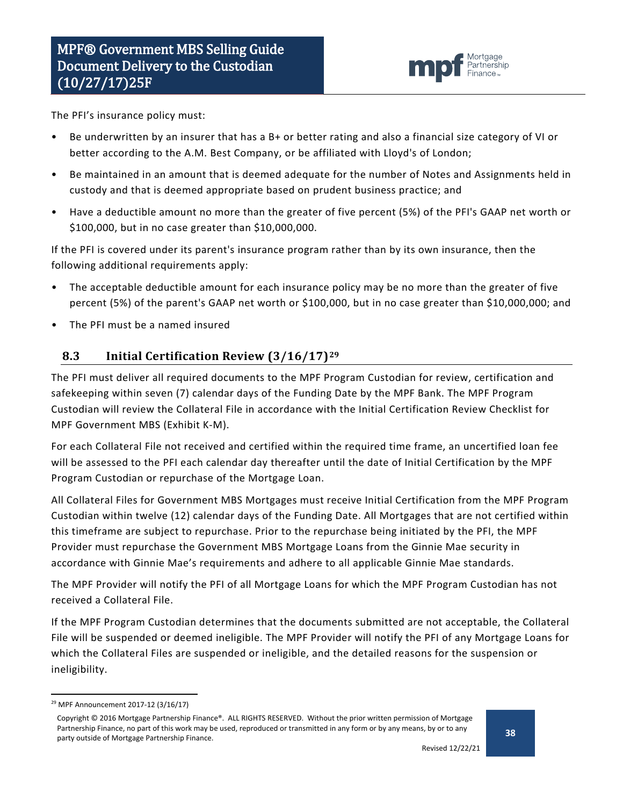

The PFI's insurance policy must:

- Be underwritten by an insurer that has a B+ or better rating and also a financial size category of VI or better according to the A.M. Best Company, or be affiliated with Lloyd's of London;
- Be maintained in an amount that is deemed adequate for the number of Notes and Assignments held in custody and that is deemed appropriate based on prudent business practice; and
- Have a deductible amount no more than the greater of five percent (5%) of the PFI's GAAP net worth or \$100,000, but in no case greater than \$10,000,000.

If the PFI is covered under its parent's insurance program rather than by its own insurance, then the following additional requirements apply:

- The acceptable deductible amount for each insurance policy may be no more than the greater of five percent (5%) of the parent's GAAP net worth or \$100,000, but in no case greater than \$10,000,000; and
- The PFI must be a named insured

## <span id="page-37-0"></span>**8.3 Initial Certification Review (3/16/17)[29](#page-37-1)**

The PFI must deliver all required documents to the MPF Program Custodian for review, certification and safekeeping within seven (7) calendar days of the Funding Date by the MPF Bank. The MPF Program Custodian will review the Collateral File in accordance with the Initial Certification Review Checklist for MPF Government MBS (Exhibit K-M).

For each Collateral File not received and certified within the required time frame, an uncertified loan fee will be assessed to the PFI each calendar day thereafter until the date of Initial Certification by the MPF Program Custodian or repurchase of the Mortgage Loan.

All Collateral Files for Government MBS Mortgages must receive Initial Certification from the MPF Program Custodian within twelve (12) calendar days of the Funding Date. All Mortgages that are not certified within this timeframe are subject to repurchase. Prior to the repurchase being initiated by the PFI, the MPF Provider must repurchase the Government MBS Mortgage Loans from the Ginnie Mae security in accordance with Ginnie Mae's requirements and adhere to all applicable Ginnie Mae standards.

The MPF Provider will notify the PFI of all Mortgage Loans for which the MPF Program Custodian has not received a Collateral File.

If the MPF Program Custodian determines that the documents submitted are not acceptable, the Collateral File will be suspended or deemed ineligible. The MPF Provider will notify the PFI of any Mortgage Loans for which the Collateral Files are suspended or ineligible, and the detailed reasons for the suspension or ineligibility.

<span id="page-37-1"></span> <sup>29</sup> MPF Announcement 2017-12 (3/16/17)

Copyright © 2016 Mortgage Partnership Finance®. ALL RIGHTS RESERVED. Without the prior written permission of Mortgage Partnership Finance, no part of this work may be used, reproduced or transmitted in any form or by any means, by or to any party outside of Mortgage Partnership Finance.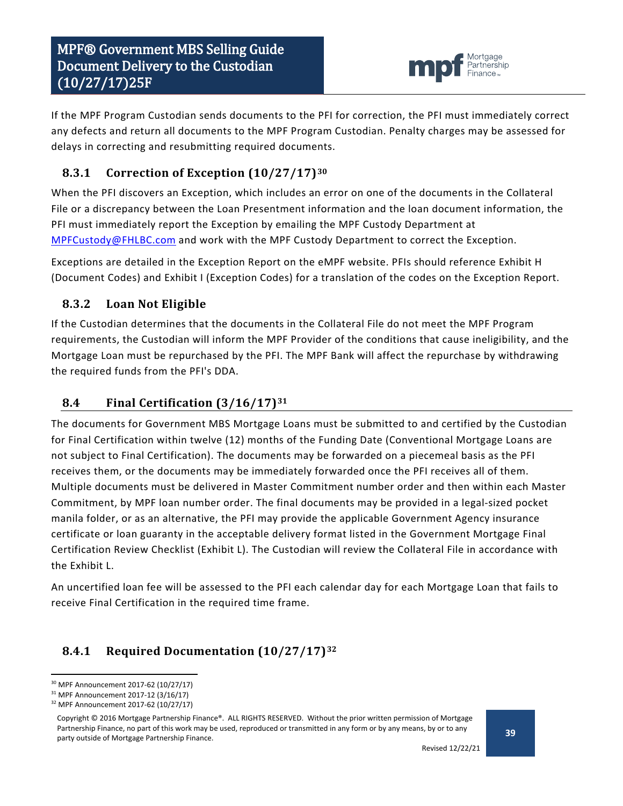

If the MPF Program Custodian sends documents to the PFI for correction, the PFI must immediately correct any defects and return all documents to the MPF Program Custodian. Penalty charges may be assessed for delays in correcting and resubmitting required documents.

## <span id="page-38-0"></span>**8.3.1 Correction of Exception (10/27/17)[30](#page-38-4)**

When the PFI discovers an Exception, which includes an error on one of the documents in the Collateral File or a discrepancy between the Loan Presentment information and the loan document information, the PFI must immediately report the Exception by emailing the MPF Custody Department at [MPFCustody@FHLBC.com](mailto:MPFCustody@FHLBC.com) and work with the MPF Custody Department to correct the Exception.

Exceptions are detailed in the Exception Report on the eMPF website. PFIs should reference Exhibit H (Document Codes) and Exhibit I (Exception Codes) for a translation of the codes on the Exception Report.

## <span id="page-38-1"></span>**8.3.2 Loan Not Eligible**

If the Custodian determines that the documents in the Collateral File do not meet the MPF Program requirements, the Custodian will inform the MPF Provider of the conditions that cause ineligibility, and the Mortgage Loan must be repurchased by the PFI. The MPF Bank will affect the repurchase by withdrawing the required funds from the PFI's DDA.

## <span id="page-38-2"></span>**8.4 Final Certification (3/16/17)[31](#page-38-5)**

The documents for Government MBS Mortgage Loans must be submitted to and certified by the Custodian for Final Certification within twelve (12) months of the Funding Date (Conventional Mortgage Loans are not subject to Final Certification). The documents may be forwarded on a piecemeal basis as the PFI receives them, or the documents may be immediately forwarded once the PFI receives all of them. Multiple documents must be delivered in Master Commitment number order and then within each Master Commitment, by MPF loan number order. The final documents may be provided in a legal-sized pocket manila folder, or as an alternative, the PFI may provide the applicable Government Agency insurance certificate or loan guaranty in the acceptable delivery format listed in the Government Mortgage Final Certification Review Checklist (Exhibit L). The Custodian will review the Collateral File in accordance with the Exhibit L.

An uncertified loan fee will be assessed to the PFI each calendar day for each Mortgage Loan that fails to receive Final Certification in the required time frame.

# <span id="page-38-3"></span>**8.4.1 Required Documentation (10/27/17)[32](#page-38-6)**

<span id="page-38-4"></span> <sup>30</sup> MPF Announcement 2017-62 (10/27/17)

<span id="page-38-5"></span><sup>31</sup> MPF Announcement 2017-12 (3/16/17)

<span id="page-38-6"></span><sup>32</sup> MPF Announcement 2017-62 (10/27/17)

Copyright © 2016 Mortgage Partnership Finance®. ALL RIGHTS RESERVED. Without the prior written permission of Mortgage Partnership Finance, no part of this work may be used, reproduced or transmitted in any form or by any means, by or to any party outside of Mortgage Partnership Finance.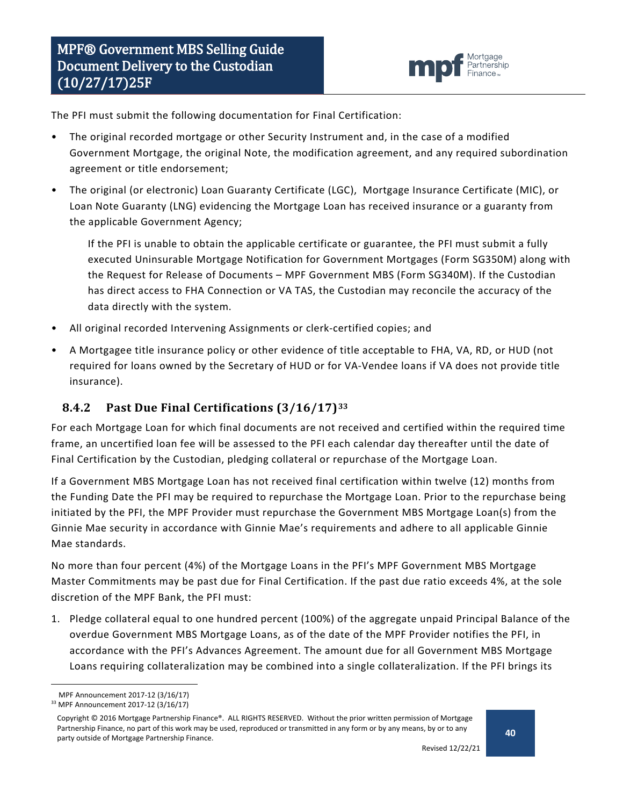

The PFI must submit the following documentation for Final Certification:

- The original recorded mortgage or other Security Instrument and, in the case of a modified Government Mortgage, the original Note, the modification agreement, and any required subordination agreement or title endorsement;
- The original (or electronic) Loan Guaranty Certificate (LGC), Mortgage Insurance Certificate (MIC), or Loan Note Guaranty (LNG) evidencing the Mortgage Loan has received insurance or a guaranty from the applicable Government Agency;

If the PFI is unable to obtain the applicable certificate or guarantee, the PFI must submit a fully executed Uninsurable Mortgage Notification for Government Mortgages (Form SG350M) along with the Request for Release of Documents – MPF Government MBS (Form SG340M). If the Custodian has direct access to FHA Connection or VA TAS, the Custodian may reconcile the accuracy of the data directly with the system.

- All original recorded Intervening Assignments or clerk-certified copies; and
- A Mortgagee title insurance policy or other evidence of title acceptable to FHA, VA, RD, or HUD (not required for loans owned by the Secretary of HUD or for VA-Vendee loans if VA does not provide title insurance).

## <span id="page-39-0"></span>**8.4.2 Past Due Final Certifications (3/16/17)[33](#page-39-1)**

For each Mortgage Loan for which final documents are not received and certified within the required time frame, an uncertified loan fee will be assessed to the PFI each calendar day thereafter until the date of Final Certification by the Custodian, pledging collateral or repurchase of the Mortgage Loan.

If a Government MBS Mortgage Loan has not received final certification within twelve (12) months from the Funding Date the PFI may be required to repurchase the Mortgage Loan. Prior to the repurchase being initiated by the PFI, the MPF Provider must repurchase the Government MBS Mortgage Loan(s) from the Ginnie Mae security in accordance with Ginnie Mae's requirements and adhere to all applicable Ginnie Mae standards.

No more than four percent (4%) of the Mortgage Loans in the PFI's MPF Government MBS Mortgage Master Commitments may be past due for Final Certification. If the past due ratio exceeds 4%, at the sole discretion of the MPF Bank, the PFI must:

1. Pledge collateral equal to one hundred percent (100%) of the aggregate unpaid Principal Balance of the overdue Government MBS Mortgage Loans, as of the date of the MPF Provider notifies the PFI, in accordance with the PFI's Advances Agreement. The amount due for all Government MBS Mortgage Loans requiring collateralization may be combined into a single collateralization. If the PFI brings its

MPF Announcement 2017-12 (3/16/17)

<span id="page-39-1"></span><sup>33</sup> MPF Announcement 2017-12 (3/16/17)

Copyright © 2016 Mortgage Partnership Finance®. ALL RIGHTS RESERVED. Without the prior written permission of Mortgage Partnership Finance, no part of this work may be used, reproduced or transmitted in any form or by any means, by or to any party outside of Mortgage Partnership Finance.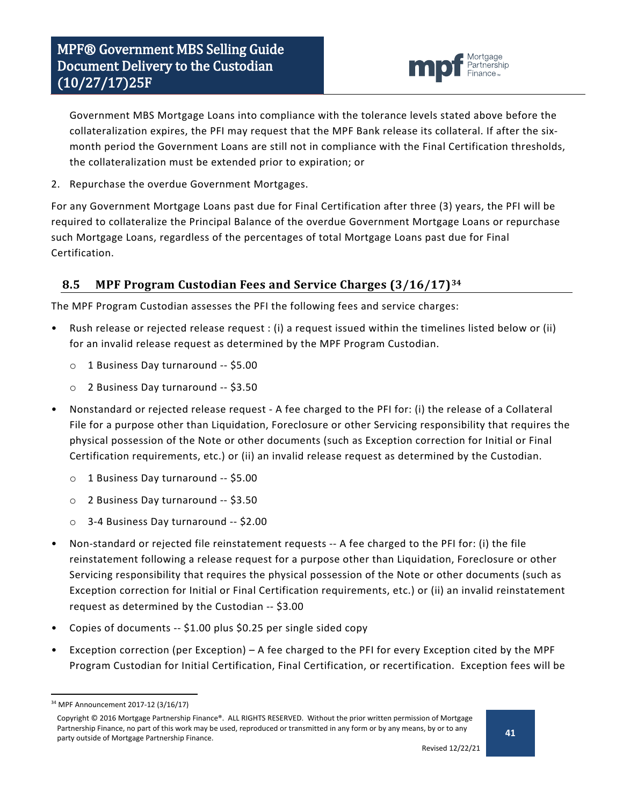

Government MBS Mortgage Loans into compliance with the tolerance levels stated above before the collateralization expires, the PFI may request that the MPF Bank release its collateral. If after the sixmonth period the Government Loans are still not in compliance with the Final Certification thresholds, the collateralization must be extended prior to expiration; or

2. Repurchase the overdue Government Mortgages.

For any Government Mortgage Loans past due for Final Certification after three (3) years, the PFI will be required to collateralize the Principal Balance of the overdue Government Mortgage Loans or repurchase such Mortgage Loans, regardless of the percentages of total Mortgage Loans past due for Final Certification.

## <span id="page-40-0"></span>**8.5 MPF Program Custodian Fees and Service Charges (3/16/17)[34](#page-40-1)**

The MPF Program Custodian assesses the PFI the following fees and service charges:

- Rush release or rejected release request : (i) a request issued within the timelines listed below or (ii) for an invalid release request as determined by the MPF Program Custodian.
	- o 1 Business Day turnaround -- \$5.00
	- o 2 Business Day turnaround -- \$3.50
- Nonstandard or rejected release request A fee charged to the PFI for: (i) the release of a Collateral File for a purpose other than Liquidation, Foreclosure or other Servicing responsibility that requires the physical possession of the Note or other documents (such as Exception correction for Initial or Final Certification requirements, etc.) or (ii) an invalid release request as determined by the Custodian.
	- o 1 Business Day turnaround -- \$5.00
	- o 2 Business Day turnaround -- \$3.50
	- o 3-4 Business Day turnaround -- \$2.00
- Non-standard or rejected file reinstatement requests -- A fee charged to the PFI for: (i) the file reinstatement following a release request for a purpose other than Liquidation, Foreclosure or other Servicing responsibility that requires the physical possession of the Note or other documents (such as Exception correction for Initial or Final Certification requirements, etc.) or (ii) an invalid reinstatement request as determined by the Custodian -- \$3.00
- Copies of documents -- \$1.00 plus \$0.25 per single sided copy
- Exception correction (per Exception) A fee charged to the PFI for every Exception cited by the MPF Program Custodian for Initial Certification, Final Certification, or recertification. Exception fees will be

<span id="page-40-1"></span> <sup>34</sup> MPF Announcement 2017-12 (3/16/17)

Copyright © 2016 Mortgage Partnership Finance®. ALL RIGHTS RESERVED. Without the prior written permission of Mortgage Partnership Finance, no part of this work may be used, reproduced or transmitted in any form or by any means, by or to any party outside of Mortgage Partnership Finance.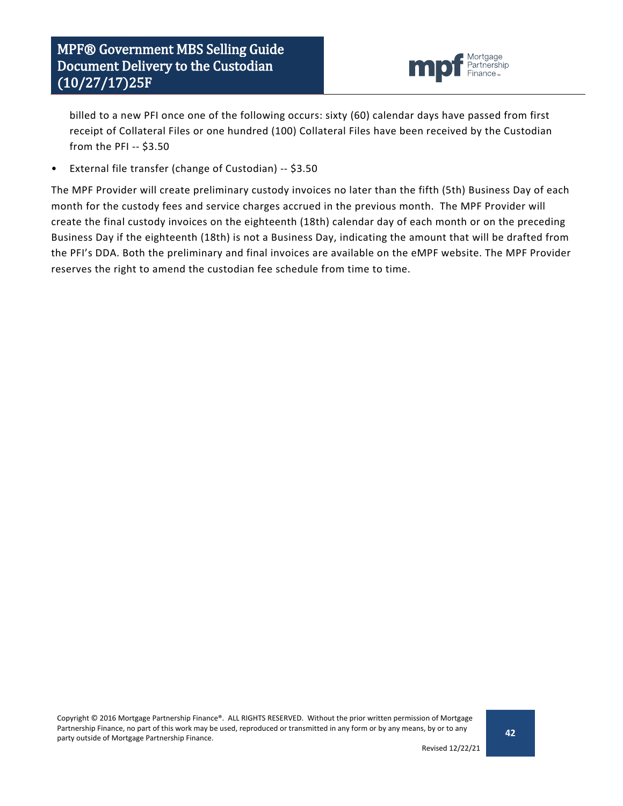

billed to a new PFI once one of the following occurs: sixty (60) calendar days have passed from first receipt of Collateral Files or one hundred (100) Collateral Files have been received by the Custodian from the PFI -- \$3.50

• External file transfer (change of Custodian) -- \$3.50

The MPF Provider will create preliminary custody invoices no later than the fifth (5th) Business Day of each month for the custody fees and service charges accrued in the previous month. The MPF Provider will create the final custody invoices on the eighteenth (18th) calendar day of each month or on the preceding Business Day if the eighteenth (18th) is not a Business Day, indicating the amount that will be drafted from the PFI's DDA. Both the preliminary and final invoices are available on the eMPF website. The MPF Provider reserves the right to amend the custodian fee schedule from time to time.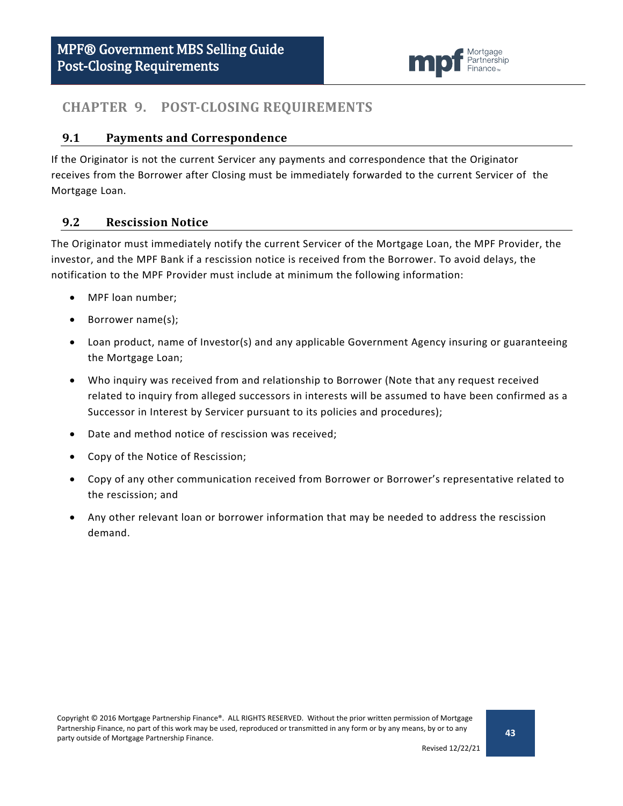

## <span id="page-42-0"></span>**CHAPTER 9. POST-CLOSING REQUIREMENTS**

#### <span id="page-42-1"></span>**9.1 Payments and Correspondence**

If the Originator is not the current Servicer any payments and correspondence that the Originator receives from the Borrower after Closing must be immediately forwarded to the current Servicer of the Mortgage Loan.

#### <span id="page-42-2"></span>**9.2 Rescission Notice**

The Originator must immediately notify the current Servicer of the Mortgage Loan, the MPF Provider, the investor, and the MPF Bank if a rescission notice is received from the Borrower. To avoid delays, the notification to the MPF Provider must include at minimum the following information:

- MPF loan number;
- Borrower name(s);
- Loan product, name of Investor(s) and any applicable Government Agency insuring or guaranteeing the Mortgage Loan;
- Who inquiry was received from and relationship to Borrower (Note that any request received related to inquiry from alleged successors in interests will be assumed to have been confirmed as a Successor in Interest by Servicer pursuant to its policies and procedures);
- Date and method notice of rescission was received;
- Copy of the Notice of Rescission;
- Copy of any other communication received from Borrower or Borrower's representative related to the rescission; and
- Any other relevant loan or borrower information that may be needed to address the rescission demand.